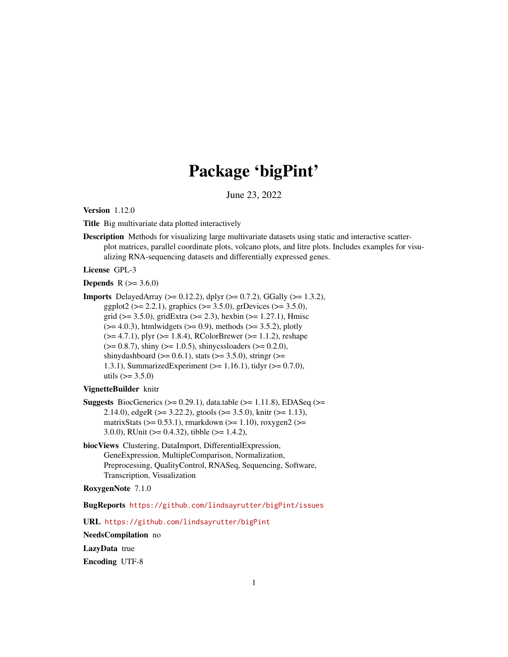# Package 'bigPint'

June 23, 2022

<span id="page-0-0"></span>Version 1.12.0

Title Big multivariate data plotted interactively

Description Methods for visualizing large multivariate datasets using static and interactive scatterplot matrices, parallel coordinate plots, volcano plots, and litre plots. Includes examples for visualizing RNA-sequencing datasets and differentially expressed genes.

License GPL-3

**Depends** R  $(>= 3.6.0)$ 

Imports DelayedArray (>= 0.12.2), dplyr (>= 0.7.2), GGally (>= 1.3.2), ggplot2 ( $>= 2.2.1$ ), graphics ( $>= 3.5.0$ ), grDevices ( $>= 3.5.0$ ), grid ( $>= 3.5.0$ ), gridExtra ( $>= 2.3$ ), hexbin ( $>= 1.27.1$ ), Hmisc  $(>= 4.0.3)$ , htmlwidgets  $(>= 0.9)$ , methods  $(>= 3.5.2)$ , plotly  $(>= 4.7.1)$ , plyr  $(>= 1.8.4)$ , RColorBrewer  $(>= 1.1.2)$ , reshape  $(>= 0.8.7)$ , shiny  $(>= 1.0.5)$ , shinycssloaders  $(>= 0.2.0)$ , shinydashboard ( $>= 0.6.1$ ), stats ( $>= 3.5.0$ ), stringr ( $>=$ 1.3.1), SummarizedExperiment (>= 1.16.1), tidyr (>= 0.7.0), utils  $(>= 3.5.0)$ 

#### VignetteBuilder knitr

- **Suggests** BiocGenerics ( $> = 0.29.1$ ), data.table ( $> = 1.11.8$ ), EDASeq ( $> =$ 2.14.0), edgeR ( $> = 3.22.2$ ), gtools ( $> = 3.5.0$ ), knitr ( $> = 1.13$ ), matrixStats ( $>= 0.53.1$ ), rmarkdown ( $>= 1.10$ ), roxygen2 ( $>=$ 3.0.0), RUnit ( $> = 0.4.32$ ), tibble ( $> = 1.4.2$ ),
- biocViews Clustering, DataImport, DifferentialExpression, GeneExpression, MultipleComparison, Normalization, Preprocessing, QualityControl, RNASeq, Sequencing, Software, Transcription, Visualization

#### RoxygenNote 7.1.0

BugReports <https://github.com/lindsayrutter/bigPint/issues>

URL <https://github.com/lindsayrutter/bigPint>

NeedsCompilation no

LazyData true Encoding UTF-8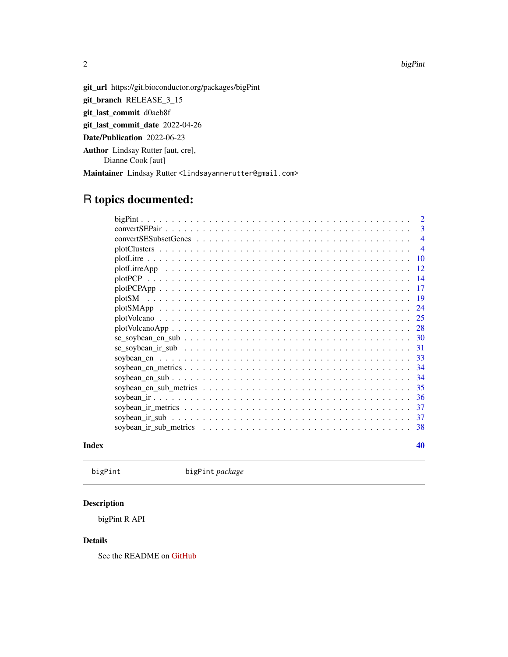$2$  bigPint  $\blacksquare$ 

<span id="page-1-0"></span>

git\_url https://git.bioconductor.org/packages/bigPint

git\_branch RELEASE\_3\_15

git\_last\_commit d0aeb8f

git\_last\_commit\_date 2022-04-26

Date/Publication 2022-06-23

Author Lindsay Rutter [aut, cre],

Dianne Cook [aut]

Maintainer Lindsay Rutter <lindsayannerutter@gmail.com>

# R topics documented:

|       | 3                       |  |
|-------|-------------------------|--|
|       | $\overline{4}$          |  |
|       | $\overline{4}$          |  |
|       | <b>10</b>               |  |
|       | -12                     |  |
|       | -14                     |  |
|       | 17                      |  |
|       | -19<br>plotSM           |  |
|       | 24                      |  |
|       | 25                      |  |
|       | -28<br>$plotVolcanoApp$ |  |
|       |                         |  |
|       |                         |  |
|       | -33                     |  |
|       | -34                     |  |
|       | -34                     |  |
|       | 35                      |  |
|       | -36                     |  |
|       | 37                      |  |
|       | -37                     |  |
|       | -38                     |  |
| Index | 40                      |  |

bigPint bigPint *package*

#### Description

bigPint R API

#### Details

See the README on [GitHub](https://github.com/lindsayrutter/bigPint#readme)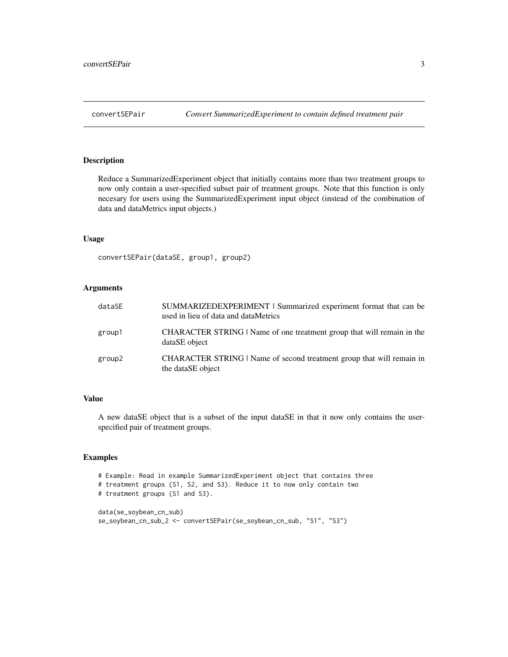<span id="page-2-0"></span>

#### Description

Reduce a SummarizedExperiment object that initially contains more than two treatment groups to now only contain a user-specified subset pair of treatment groups. Note that this function is only necesary for users using the SummarizedExperiment input object (instead of the combination of data and dataMetrics input objects.)

#### Usage

```
convertSEPair(dataSE, group1, group2)
```
#### Arguments

| dataSE | SUMMARIZEDEXPERIMENT   Summarized experiment format that can be<br>used in lieu of data and dataMetrics |
|--------|---------------------------------------------------------------------------------------------------------|
| group1 | CHARACTER STRING   Name of one treatment group that will remain in the<br>dataSE object                 |
| group2 | CHARACTER STRING   Name of second treatment group that will remain in<br>the dataSE object              |

#### Value

A new dataSE object that is a subset of the input dataSE in that it now only contains the userspecified pair of treatment groups.

```
# Example: Read in example SummarizedExperiment object that contains three
# treatment groups (S1, S2, and S3). Reduce it to now only contain two
# treatment groups (S1 and S3).
data(se_soybean_cn_sub)
se_soybean_cn_sub_2 <- convertSEPair(se_soybean_cn_sub, "S1", "S3")
```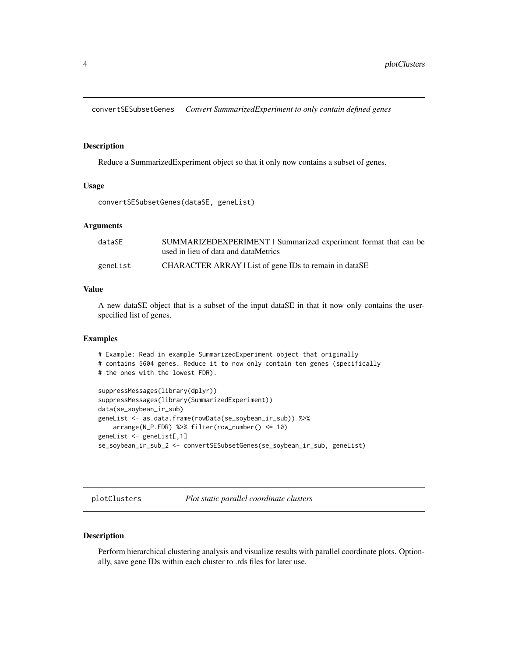<span id="page-3-0"></span>convertSESubsetGenes *Convert SummarizedExperiment to only contain defined genes*

#### Description

Reduce a SummarizedExperiment object so that it only now contains a subset of genes.

#### Usage

```
convertSESubsetGenes(dataSE, geneList)
```
#### Arguments

| dataSE   | SUMMARIZEDEXPERIMENT   Summarized experiment format that can be |
|----------|-----------------------------------------------------------------|
|          | used in lieu of data and dataMetrics                            |
| geneList | CHARACTER ARRAY   List of gene IDs to remain in dataSE          |

#### Value

A new dataSE object that is a subset of the input dataSE in that it now only contains the userspecified list of genes.

#### Examples

```
# Example: Read in example SummarizedExperiment object that originally
# contains 5604 genes. Reduce it to now only contain ten genes (specifically
# the ones with the lowest FDR).
suppressMessages(library(dplyr))
suppressMessages(library(SummarizedExperiment))
data(se_soybean_ir_sub)
geneList <- as.data.frame(rowData(se_soybean_ir_sub)) %>%
   arrange(N_P.FDR) %>% filter(row_number() <= 10)
geneList <- geneList[,1]
se_soybean_ir_sub_2 <- convertSESubsetGenes(se_soybean_ir_sub, geneList)
```
plotClusters *Plot static parallel coordinate clusters*

#### Description

Perform hierarchical clustering analysis and visualize results with parallel coordinate plots. Optionally, save gene IDs within each cluster to .rds files for later use.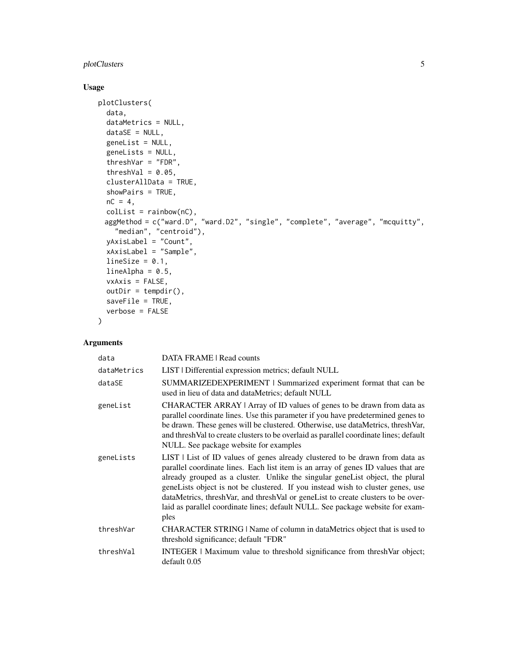#### plotClusters 5

#### Usage

```
plotClusters(
  data,
  dataMetrics = NULL,
  dataSE = NULL,geneList = NULL,
  geneLists = NULL,
  threshVar = "FDR",
  threshVal = 0.05,
  clusterAllData = TRUE,
  showPairs = TRUE,
  nC = 4,
  collist = rainbow(nC),
 aggMethod = c("ward.D", "ward.D2", "single", "complete", "average", "mcquitty",
    "median", "centroid"),
  yAxisLabel = "Count",
  xAxisLabel = "Sample",
  lineSize = 0.1,
  lineAlpha = 0.5,
  vxAxis = FALSE,
  outDir = tempdir(),saveFile = TRUE,
  verbose = FALSE
\mathcal{L}
```
### Arguments

| data        | DATA FRAME   Read counts                                                                                                                                                                                                                                                                                                                                                                                                                                                                                            |
|-------------|---------------------------------------------------------------------------------------------------------------------------------------------------------------------------------------------------------------------------------------------------------------------------------------------------------------------------------------------------------------------------------------------------------------------------------------------------------------------------------------------------------------------|
| dataMetrics | LIST   Differential expression metrics; default NULL                                                                                                                                                                                                                                                                                                                                                                                                                                                                |
| dataSE      | SUMMARIZEDEXPERIMENT   Summarized experiment format that can be<br>used in lieu of data and dataMetrics; default NULL                                                                                                                                                                                                                                                                                                                                                                                               |
| geneList    | CHARACTER ARRAY   Array of ID values of genes to be drawn from data as<br>parallel coordinate lines. Use this parameter if you have predetermined genes to<br>be drawn. These genes will be clustered. Otherwise, use dataMetrics, threshVar,<br>and threshVal to create clusters to be overlaid as parallel coordinate lines; default<br>NULL. See package website for examples                                                                                                                                    |
| geneLists   | LIST   List of ID values of genes already clustered to be drawn from data as<br>parallel coordinate lines. Each list item is an array of genes ID values that are<br>already grouped as a cluster. Unlike the singular geneList object, the plural<br>geneLists object is not be clustered. If you instead wish to cluster genes, use<br>dataMetrics, threshVar, and threshVal or geneList to create clusters to be over-<br>laid as parallel coordinate lines; default NULL. See package website for exam-<br>ples |
| threshVar   | CHARACTER STRING   Name of column in dataMetrics object that is used to<br>threshold significance; default "FDR"                                                                                                                                                                                                                                                                                                                                                                                                    |
| threshVal   | <b>INTEGER</b>   Maximum value to threshold significance from threshVar object;<br>default 0.05                                                                                                                                                                                                                                                                                                                                                                                                                     |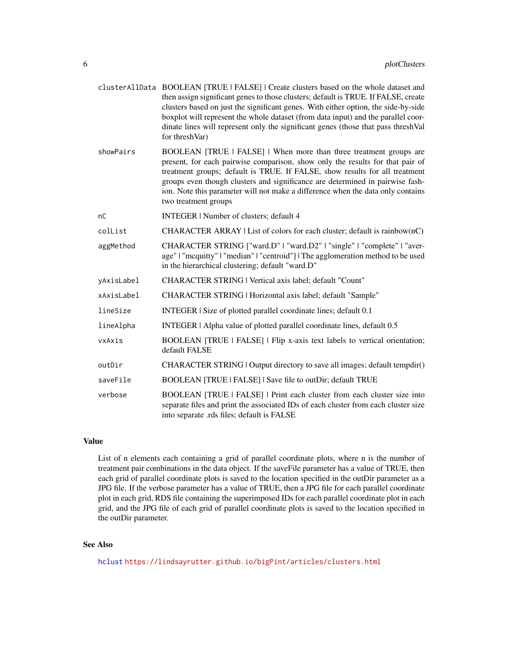- <span id="page-5-0"></span>clusterAllData BOOLEAN [TRUE | FALSE] | Create clusters based on the whole dataset and then assign significant genes to those clusters; default is TRUE. If FALSE, create clusters based on just the significant genes. With either option, the side-by-side boxplot will represent the whole dataset (from data input) and the parallel coordinate lines will represent only the significant genes (those that pass threshVal for threshVar)
- showPairs BOOLEAN [TRUE | FALSE] | When more than three treatment groups are present, for each pairwise comparison, show only the results for that pair of treatment groups; default is TRUE. If FALSE, show results for all treatment groups even though clusters and significance are determined in pairwise fashion. Note this parameter will not make a difference when the data only contains two treatment groups
- nC INTEGER | Number of clusters; default 4
- colList **CHARACTER ARRAY** | List of colors for each cluster; default is rainbow( $nC$ )
- aggMethod CHARACTER STRING ["ward.D" | "ward.D2" | "single" | "complete" | "average" | "mcquitty" | "median" | "centroid"] | The agglomeration method to be used in the hierarchical clustering; default "ward.D"
- yAxisLabel CHARACTER STRING | Vertical axis label; default "Count"
- xAxisLabel CHARACTER STRING | Horizontal axis label; default "Sample"
- lineSize INTEGER | Size of plotted parallel coordinate lines; default 0.1
- lineAlpha INTEGER | Alpha value of plotted parallel coordinate lines, default 0.5
- vxAxis BOOLEAN [TRUE | FALSE] | Flip x-axis text labels to vertical orientation; default FALSE
- outDir CHARACTER STRING | Output directory to save all images; default tempdir()
- saveFile BOOLEAN [TRUE | FALSE] | Save file to outDir; default TRUE
- verbose BOOLEAN [TRUE | FALSE] | Print each cluster from each cluster size into separate files and print the associated IDs of each cluster from each cluster size into separate .rds files; default is FALSE

#### Value

List of n elements each containing a grid of parallel coordinate plots, where n is the number of treatment pair combinations in the data object. If the saveFile parameter has a value of TRUE, then each grid of parallel coordinate plots is saved to the location specified in the outDir parameter as a JPG file. If the verbose parameter has a value of TRUE, then a JPG file for each parallel coordinate plot in each grid, RDS file containing the superimposed IDs for each parallel coordinate plot in each grid, and the JPG file of each grid of parallel coordinate plots is saved to the location specified in the outDir parameter.

#### See Also

[hclust](#page-0-0) <https://lindsayrutter.github.io/bigPint/articles/clusters.html>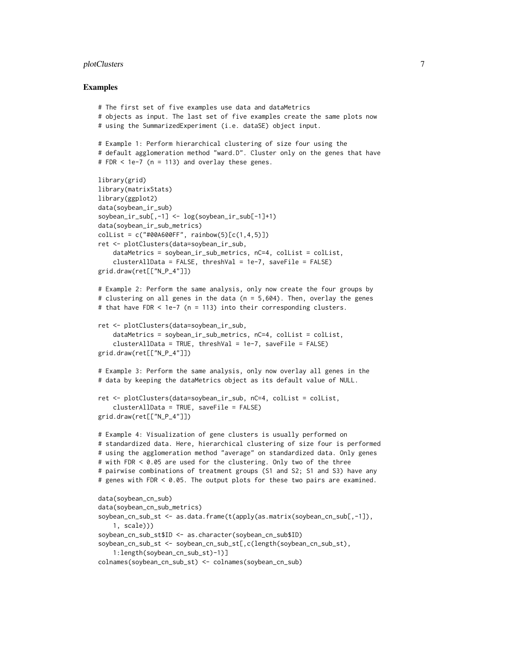#### plotClusters  $\qquad \qquad \qquad$  7

```
# The first set of five examples use data and dataMetrics
# objects as input. The last set of five examples create the same plots now
# using the SummarizedExperiment (i.e. dataSE) object input.
# Example 1: Perform hierarchical clustering of size four using the
# default agglomeration method "ward.D". Cluster only on the genes that have
# FDR \leq 1e-7 (n = 113) and overlay these genes.
library(grid)
library(matrixStats)
library(ggplot2)
data(soybean_ir_sub)
soybean_ir_sub[,-1] <- log(soybean_ir_sub[-1]+1)
data(soybean_ir_sub_metrics)
collist = c("#00A600FF", rainbow(5)[c(1,4,5)])ret <- plotClusters(data=soybean_ir_sub,
    dataMetrics = soybean_ir_sub_metrics, nC=4, colList = colList,
    clusterAllData = FALSE, threshVal = 1e-7, saveFile = FALSE)
grid.draw(ret[["N_P_4"]])
# Example 2: Perform the same analysis, only now create the four groups by
# clustering on all genes in the data (n = 5,604). Then, overlay the genes
# that have FDR < 1e-7 (n = 113) into their corresponding clusters.
ret <- plotClusters(data=soybean_ir_sub,
    dataMetrics = soybean_ir_sub_metrics, nC=4, colList = colList,
    clusterAllData = TRUE, threshVal = 1e-7, saveFile = FALSE)
grid.draw(ret[["N_P_4"]])
# Example 3: Perform the same analysis, only now overlay all genes in the
# data by keeping the dataMetrics object as its default value of NULL.
ret <- plotClusters(data=soybean_ir_sub, nC=4, colList = colList,
    clusterAllData = TRUE, saveFile = FALSE)
grid.draw(ret[["N_P_4"]])
# Example 4: Visualization of gene clusters is usually performed on
# standardized data. Here, hierarchical clustering of size four is performed
# using the agglomeration method "average" on standardized data. Only genes
# with FDR < 0.05 are used for the clustering. Only two of the three
# pairwise combinations of treatment groups (S1 and S2; S1 and S3) have any
# genes with FDR < 0.05. The output plots for these two pairs are examined.
data(soybean_cn_sub)
data(soybean_cn_sub_metrics)
soybean_cn_sub_st <- as.data.frame(t(apply(as.matrix(soybean_cn_sub[,-1]),
    1, scale)))
soybean_cn_sub_st$ID <- as.character(soybean_cn_sub$ID)
soybean_cn_sub_st <- soybean_cn_sub_st[,c(length(soybean_cn_sub_st),
    1:length(soybean_cn_sub_st)-1)]
colnames(soybean_cn_sub_st) <- colnames(soybean_cn_sub)
```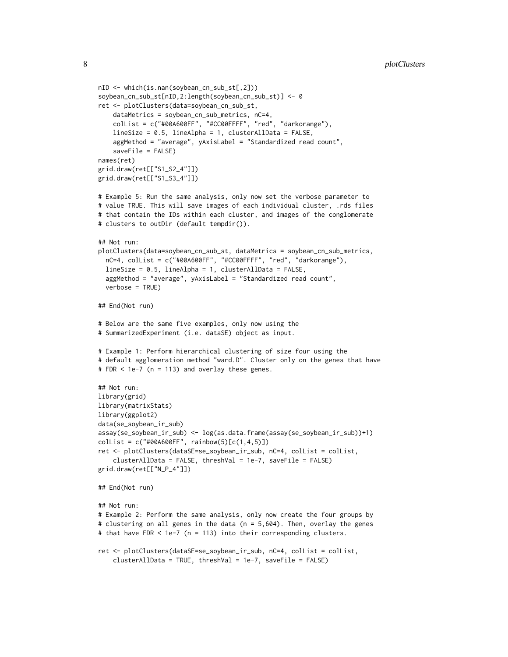```
nID <- which(is.nan(soybean_cn_sub_st[,2]))
soybean_cn_sub_st[nID,2:length(soybean_cn_sub_st)] <- 0
ret <- plotClusters(data=soybean_cn_sub_st,
    dataMetrics = soybean_cn_sub_metrics, nC=4,
    colList = c("#00A600FF", "#CC00FFFF", "red", "darkorange"),
    lineSize = 0.5, lineAlpha = 1, clusterAllData = FALSE,
    aggMethod = "average", yAxisLabel = "Standardized read count",
    saveFile = FALSE)
names(ret)
grid.draw(ret[["S1_S2_4"]])
grid.draw(ret[["S1_S3_4"]])
# Example 5: Run the same analysis, only now set the verbose parameter to
# value TRUE. This will save images of each individual cluster, .rds files
# that contain the IDs within each cluster, and images of the conglomerate
# clusters to outDir (default tempdir()).
## Not run:
plotClusters(data=soybean_cn_sub_st, dataMetrics = soybean_cn_sub_metrics,
 nC=4, colList = c("#00A600FF", "#CC00FFFF", "red", "darkorange"),
 lineSize = 0.5, lineAlpha = 1, clusterAllData = FALSE,
 aggMethod = "average", yAxisLabel = "Standardized read count",
 verbose = TRUE)
## End(Not run)
# Below are the same five examples, only now using the
# SummarizedExperiment (i.e. dataSE) object as input.
# Example 1: Perform hierarchical clustering of size four using the
# default agglomeration method "ward.D". Cluster only on the genes that have
# FDR < 1e-7 (n = 113) and overlay these genes.
## Not run:
library(grid)
library(matrixStats)
library(ggplot2)
data(se_soybean_ir_sub)
assay(se_soybean_ir_sub) <- log(as.data.frame(assay(se_soybean_ir_sub))+1)
collist = c("#00A600FF", rainbow(5)[c(1,4,5)])ret <- plotClusters(dataSE=se_soybean_ir_sub, nC=4, colList = colList,
    clusterAllData = FALSE, threshVal = 1e-7, saveFile = FALSE)
grid.draw(ret[["N_P_4"]])
## End(Not run)
## Not run:
# Example 2: Perform the same analysis, only now create the four groups by
# clustering on all genes in the data (n = 5,604). Then, overlay the genes
# that have FDR < 1e-7 (n = 113) into their corresponding clusters.
ret <- plotClusters(dataSE=se_soybean_ir_sub, nC=4, colList = colList,
    clusterAllData = TRUE, threshVal = 1e-7, saveFile = FALSE)
```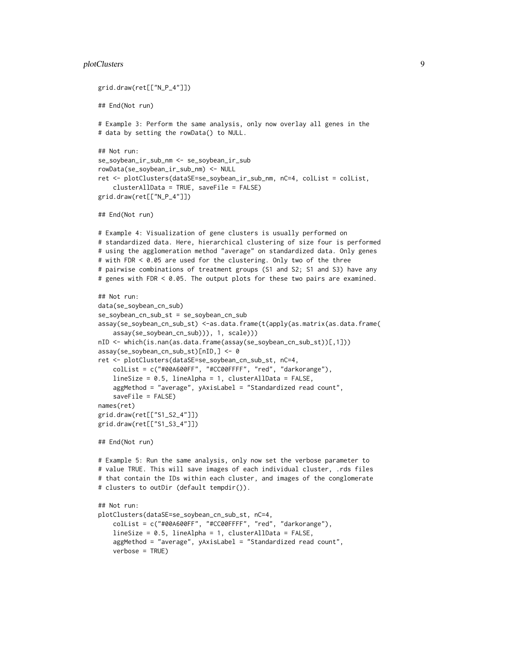#### plotClusters **9**

```
grid.draw(ret[["N_P_4"]])
## End(Not run)
# Example 3: Perform the same analysis, only now overlay all genes in the
# data by setting the rowData() to NULL.
## Not run:
se_soybean_ir_sub_nm <- se_soybean_ir_sub
rowData(se_soybean_ir_sub_nm) <- NULL
ret <- plotClusters(dataSE=se_soybean_ir_sub_nm, nC=4, colList = colList,
    clusterAllData = TRUE, saveFile = FALSE)
grid.draw(ret[["N_P_4"]])
## End(Not run)
# Example 4: Visualization of gene clusters is usually performed on
# standardized data. Here, hierarchical clustering of size four is performed
# using the agglomeration method "average" on standardized data. Only genes
# with FDR < 0.05 are used for the clustering. Only two of the three
# pairwise combinations of treatment groups (S1 and S2; S1 and S3) have any
# genes with FDR < 0.05. The output plots for these two pairs are examined.
## Not run:
data(se_soybean_cn_sub)
se_soybean_cn_sub_st = se_soybean_cn_sub
assay(se_soybean_cn_sub_st) <-as.data.frame(t(apply(as.matrix(as.data.frame(
    assay(se_soybean_cn_sub))), 1, scale)))
nID <- which(is.nan(as.data.frame(assay(se_soybean_cn_sub_st))[,1]))
assay(se_soybean_cn_sub_st)[nID,] <- 0
ret <- plotClusters(dataSE=se_soybean_cn_sub_st, nC=4,
    colList = c("#00A600FF", "#CC00FFFF", "red", "darkorange"),
    lineSize = 0.5, lineAlpha = 1, clusterAllData = FALSE,
    aggMethod = "average", yAxisLabel = "Standardized read count",
    saveFile = FALSE)
names(ret)
grid.draw(ret[["S1_S2_4"]])
grid.draw(ret[["S1_S3_4"]])
## End(Not run)
# Example 5: Run the same analysis, only now set the verbose parameter to
# value TRUE. This will save images of each individual cluster, .rds files
# that contain the IDs within each cluster, and images of the conglomerate
# clusters to outDir (default tempdir()).
## Not run:
plotClusters(dataSE=se_soybean_cn_sub_st, nC=4,
    colList = c("#00A600FF", "#CC00FFFF", "red", "darkorange"),
    lineSize = 0.5, lineAlpha = 1, clusterAllData = FALSE,
    aggMethod = "average", yAxisLabel = "Standardized read count",
    verbose = TRUE)
```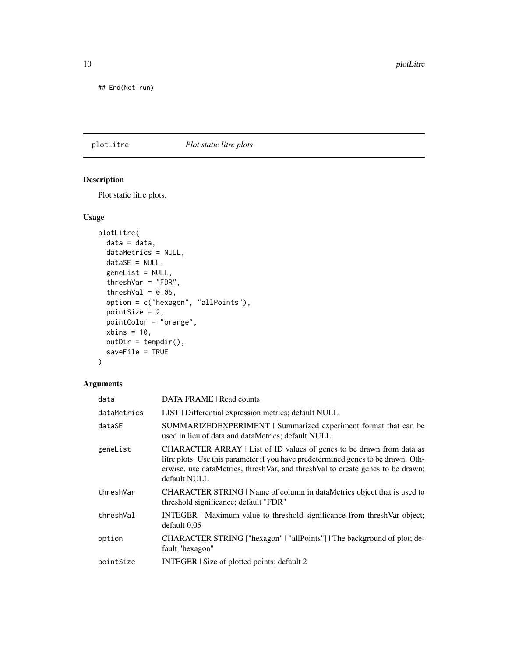<span id="page-9-0"></span>## End(Not run)

#### plotLitre *Plot static litre plots*

#### Description

Plot static litre plots.

#### Usage

```
plotLitre(
 data = data,
 dataMetrics = NULL,
 dataSE = NULL,geneList = NULL,
  threshVar = "FDR",
  threshVal = 0.05,
 option = c("hexagon", "allPoints"),
 pointSize = 2,
 pointColor = "orange",
 xbins = 10,
 outDir = tempdir(),saveFile = TRUE
)
```
#### Arguments

| data        | DATA FRAME   Read counts                                                                                                                                                                                                                                     |
|-------------|--------------------------------------------------------------------------------------------------------------------------------------------------------------------------------------------------------------------------------------------------------------|
| dataMetrics | LIST   Differential expression metrics; default NULL                                                                                                                                                                                                         |
| dataSE      | SUMMARIZEDEXPERIMENT   Summarized experiment format that can be<br>used in lieu of data and dataMetrics; default NULL                                                                                                                                        |
| geneList    | CHARACTER ARRAY   List of ID values of genes to be drawn from data as<br>litre plots. Use this parameter if you have predetermined genes to be drawn. Oth-<br>erwise, use dataMetrics, threshVar, and threshVal to create genes to be drawn;<br>default NULL |
| threshVar   | CHARACTER STRING   Name of column in dataMetrics object that is used to<br>threshold significance; default "FDR"                                                                                                                                             |
| threshVal   | INTEGER   Maximum value to threshold significance from threshVar object;<br>default 0.05                                                                                                                                                                     |
| option      | CHARACTER STRING ["hexagon"   "allPoints"]   The background of plot; de-<br>fault "hexagon"                                                                                                                                                                  |
| pointSize   | INTEGER   Size of plotted points; default 2                                                                                                                                                                                                                  |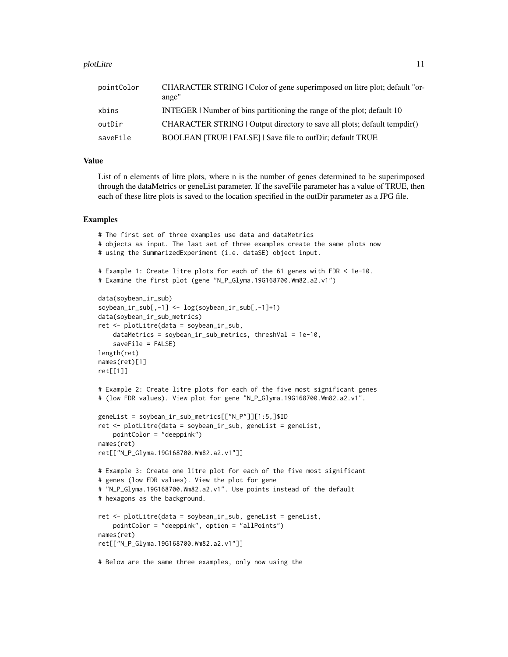#### plotLitre that the set of the set of the set of the set of the set of the set of the set of the set of the set of the set of the set of the set of the set of the set of the set of the set of the set of the set of the set o

| pointColor | CHARACTER STRING   Color of gene superimposed on litre plot; default "or-<br>ange" |
|------------|------------------------------------------------------------------------------------|
| xbins      | INTEGER   Number of bins partitioning the range of the plot; default 10            |
| outDir     | CHARACTER STRING   Output directory to save all plots; default tempdir()           |
| saveFile   | BOOLEAN [TRUE   FALSE]   Save file to outDir; default TRUE                         |

#### Value

List of n elements of litre plots, where n is the number of genes determined to be superimposed through the dataMetrics or geneList parameter. If the saveFile parameter has a value of TRUE, then each of these litre plots is saved to the location specified in the outDir parameter as a JPG file.

```
# The first set of three examples use data and dataMetrics
# objects as input. The last set of three examples create the same plots now
# using the SummarizedExperiment (i.e. dataSE) object input.
# Example 1: Create litre plots for each of the 61 genes with FDR < 1e-10.
# Examine the first plot (gene "N_P_Glyma.19G168700.Wm82.a2.v1")
data(soybean_ir_sub)
soybean_ir_sub[,-1] <- log(soybean_ir_sub[,-1]+1)
data(soybean_ir_sub_metrics)
ret <- plotLitre(data = soybean_ir_sub,
    dataMetrics = soybean_ir_sub_metrics, threshVal = 1e-10,
    saveFile = FALSE)
length(ret)
names(ret)[1]
ret[[1]]
# Example 2: Create litre plots for each of the five most significant genes
# (low FDR values). View plot for gene "N_P_Glyma.19G168700.Wm82.a2.v1".
geneList = soybean_ir_sub_metrics[["N_P"]][1:5,]$ID
ret <- plotLitre(data = soybean_ir_sub, geneList = geneList,
   pointColor = "deeppink")
names(ret)
ret[["N_P_Glyma.19G168700.Wm82.a2.v1"]]
# Example 3: Create one litre plot for each of the five most significant
# genes (low FDR values). View the plot for gene
# "N_P_Glyma.19G168700.Wm82.a2.v1". Use points instead of the default
# hexagons as the background.
ret <- plotLitre(data = soybean_ir_sub, geneList = geneList,
   pointColor = "deeppink", option = "allPoints")
names(ret)
ret[["N_P_Glyma.19G168700.Wm82.a2.v1"]]
# Below are the same three examples, only now using the
```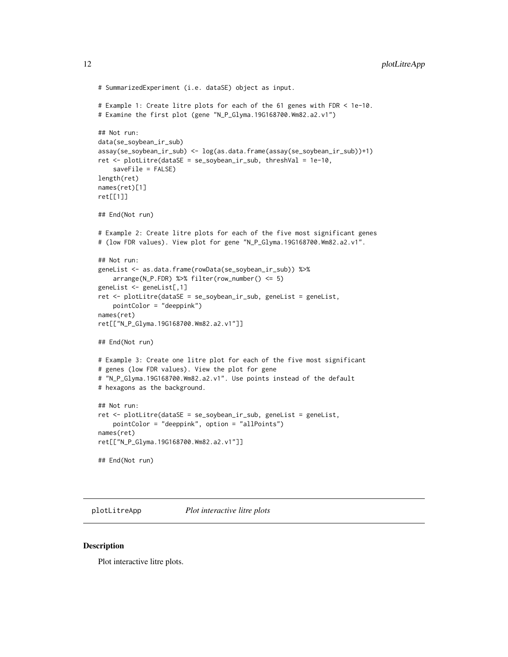```
# SummarizedExperiment (i.e. dataSE) object as input.
# Example 1: Create litre plots for each of the 61 genes with FDR < 1e-10.
# Examine the first plot (gene "N_P_Glyma.19G168700.Wm82.a2.v1")
## Not run:
data(se_soybean_ir_sub)
assay(se_soybean_ir_sub) <- log(as.data.frame(assay(se_soybean_ir_sub))+1)
ret <- plotLitre(dataSE = se_soybean_ir_sub, threshVal = 1e-10,
    saveFile = FALSE)
length(ret)
names(ret)[1]
ret[[1]]
## End(Not run)
# Example 2: Create litre plots for each of the five most significant genes
# (low FDR values). View plot for gene "N_P_Glyma.19G168700.Wm82.a2.v1".
## Not run:
geneList <- as.data.frame(rowData(se_soybean_ir_sub)) %>%
   arrange(N_P.FDR) %>% filter(row_number() <= 5)
geneList <- geneList[,1]
ret <- plotLitre(dataSE = se_soybean_ir_sub, geneList = geneList,
   pointColor = "deeppink")
names(ret)
ret[["N_P_Glyma.19G168700.Wm82.a2.v1"]]
## End(Not run)
# Example 3: Create one litre plot for each of the five most significant
# genes (low FDR values). View the plot for gene
# "N_P_Glyma.19G168700.Wm82.a2.v1". Use points instead of the default
# hexagons as the background.
## Not run:
ret <- plotLitre(dataSE = se_soybean_ir_sub, geneList = geneList,
    pointColor = "deeppink", option = "allPoints")
names(ret)
ret[["N_P_Glyma.19G168700.Wm82.a2.v1"]]
## End(Not run)
```
plotLitreApp *Plot interactive litre plots*

#### **Description**

Plot interactive litre plots.

<span id="page-11-0"></span>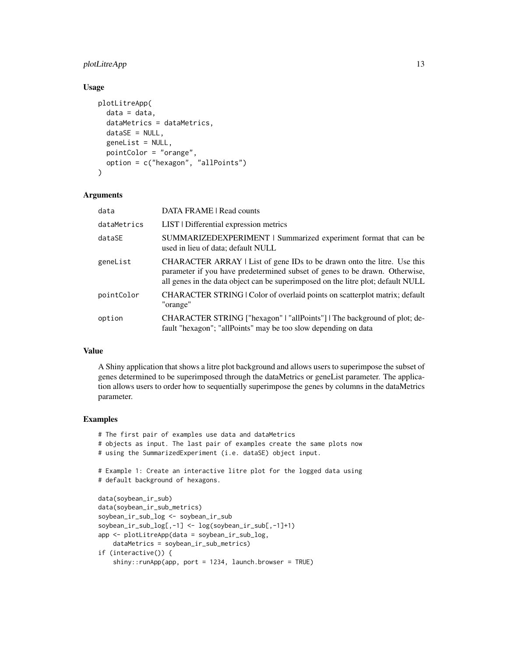#### plotLitreApp 13

#### Usage

```
plotLitreApp(
  data = data,
  dataMetrics = dataMetrics,
  dataSE = NULL,geneList = NULL,
  pointColor = "orange",
  option = c("hexagon", "allPoints")
\lambda
```
#### Arguments

| data        | DATA FRAME   Read counts                                                                                                                                                                                                                   |
|-------------|--------------------------------------------------------------------------------------------------------------------------------------------------------------------------------------------------------------------------------------------|
| dataMetrics | LIST   Differential expression metrics                                                                                                                                                                                                     |
| dataSE      | SUMMARIZEDEXPERIMENT   Summarized experiment format that can be<br>used in lieu of data; default NULL                                                                                                                                      |
| geneList    | CHARACTER ARRAY   List of gene IDs to be drawn onto the litre. Use this<br>parameter if you have predetermined subset of genes to be drawn. Otherwise,<br>all genes in the data object can be superimposed on the litre plot; default NULL |
| pointColor  | CHARACTER STRING   Color of overlaid points on scatterplot matrix; default<br>"orange"                                                                                                                                                     |
| option      | CHARACTER STRING ["hexagon"   "allPoints"]   The background of plot; de-<br>fault "hexagon"; "allPoints" may be too slow depending on data                                                                                                 |

#### Value

A Shiny application that shows a litre plot background and allows users to superimpose the subset of genes determined to be superimposed through the dataMetrics or geneList parameter. The application allows users to order how to sequentially superimpose the genes by columns in the dataMetrics parameter.

```
# The first pair of examples use data and dataMetrics
# objects as input. The last pair of examples create the same plots now
# using the SummarizedExperiment (i.e. dataSE) object input.
# Example 1: Create an interactive litre plot for the logged data using
# default background of hexagons.
data(soybean_ir_sub)
data(soybean_ir_sub_metrics)
soybean_ir_sub_log <- soybean_ir_sub
soybean_ir_sub_log[,-1] <- log(soybean_ir_sub[,-1]+1)
app <- plotLitreApp(data = soybean_ir_sub_log,
    dataMetrics = soybean_ir_sub_metrics)
if (interactive()) {
```

```
shiny::runApp(app, port = 1234, launch.browser = TRUE)
```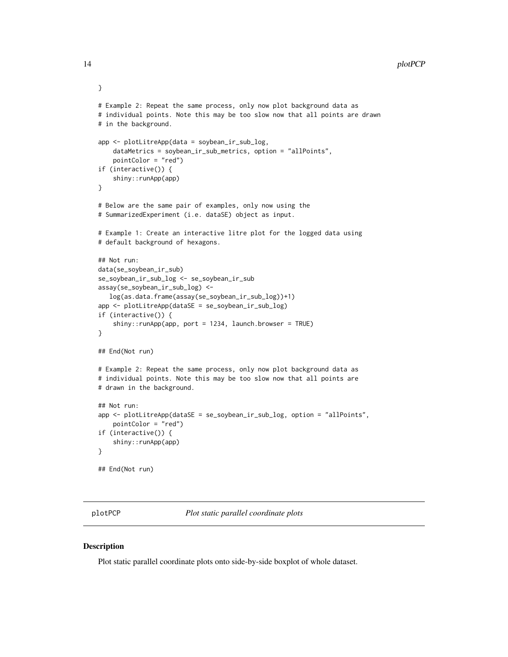```
# Example 2: Repeat the same process, only now plot background data as
# individual points. Note this may be too slow now that all points are drawn
# in the background.
app <- plotLitreApp(data = soybean_ir_sub_log,
    dataMetrics = soybean_ir_sub_metrics, option = "allPoints",
    pointColor = "red")
if (interactive()) {
    shiny::runApp(app)
}
# Below are the same pair of examples, only now using the
# SummarizedExperiment (i.e. dataSE) object as input.
# Example 1: Create an interactive litre plot for the logged data using
# default background of hexagons.
## Not run:
data(se_soybean_ir_sub)
se_soybean_ir_sub_log <- se_soybean_ir_sub
assay(se_soybean_ir_sub_log) <-
  log(as.data.frame(assay(se_soybean_ir_sub_log))+1)
app <- plotLitreApp(dataSE = se_soybean_ir_sub_log)
if (interactive()) {
    shiny::runApp(app, port = 1234, launch.browser = TRUE)}
## End(Not run)
# Example 2: Repeat the same process, only now plot background data as
# individual points. Note this may be too slow now that all points are
# drawn in the background.
## Not run:
app <- plotLitreApp(dataSE = se_soybean_ir_sub_log, option = "allPoints",
    pointColor = "red")
if (interactive()) {
    shiny::runApp(app)
}
## End(Not run)
```
plotPCP *Plot static parallel coordinate plots*

#### **Description**

Plot static parallel coordinate plots onto side-by-side boxplot of whole dataset.

<span id="page-13-0"></span>

}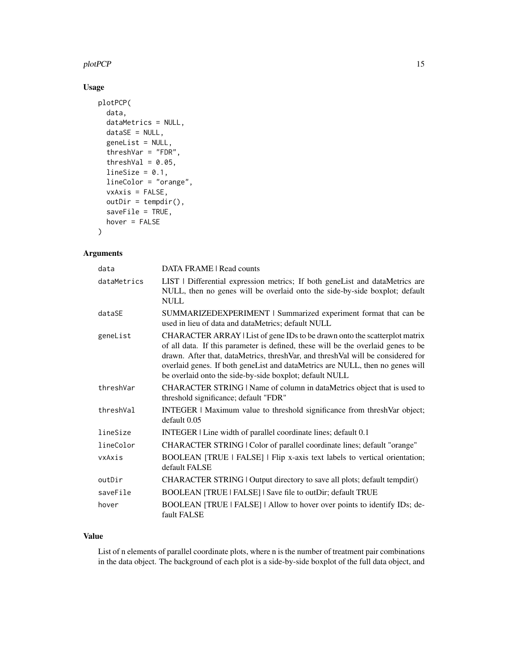#### plotPCP 15

#### Usage

```
plotPCP(
  data,
  dataMetrics = NULL,
  dataSE = NULL,
  geneList = NULL,
  threshVar = "FDR",
  threshVal = 0.05,
  lineSize = 0.1,
  lineColor = "orange",
  vxAxis = FALSE,
  outDir = tempdir(),
  saveFile = TRUE,
  hover = FALSE
)
```
## Arguments

| data        | DATA FRAME   Read counts                                                                                                                                                                                                                                                                                                                                                                       |
|-------------|------------------------------------------------------------------------------------------------------------------------------------------------------------------------------------------------------------------------------------------------------------------------------------------------------------------------------------------------------------------------------------------------|
| dataMetrics | LIST   Differential expression metrics; If both geneList and dataMetrics are<br>NULL, then no genes will be overlaid onto the side-by-side boxplot; default<br><b>NULL</b>                                                                                                                                                                                                                     |
| dataSE      | SUMMARIZEDEXPERIMENT   Summarized experiment format that can be<br>used in lieu of data and dataMetrics; default NULL                                                                                                                                                                                                                                                                          |
| geneList    | CHARACTER ARRAY   List of gene IDs to be drawn onto the scatterplot matrix<br>of all data. If this parameter is defined, these will be the overlaid genes to be<br>drawn. After that, dataMetrics, threshVar, and threshVal will be considered for<br>overlaid genes. If both geneList and dataMetrics are NULL, then no genes will<br>be overlaid onto the side-by-side boxplot; default NULL |
| threshVar   | CHARACTER STRING   Name of column in dataMetrics object that is used to<br>threshold significance; default "FDR"                                                                                                                                                                                                                                                                               |
| threshVal   | INTEGER   Maximum value to threshold significance from threshVar object;<br>default 0.05                                                                                                                                                                                                                                                                                                       |
| lineSize    | INTEGER   Line width of parallel coordinate lines; default 0.1                                                                                                                                                                                                                                                                                                                                 |
| lineColor   | CHARACTER STRING   Color of parallel coordinate lines; default "orange"                                                                                                                                                                                                                                                                                                                        |
| vxAxis      | BOOLEAN [TRUE   FALSE]   Flip x-axis text labels to vertical orientation;<br>default FALSE                                                                                                                                                                                                                                                                                                     |
| outDir      | CHARACTER STRING   Output directory to save all plots; default tempdir()                                                                                                                                                                                                                                                                                                                       |
| saveFile    | BOOLEAN [TRUE   FALSE]   Save file to outDir; default TRUE                                                                                                                                                                                                                                                                                                                                     |
| hover       | BOOLEAN [TRUE   FALSE]   Allow to hover over points to identify IDs; de-<br>fault FALSE                                                                                                                                                                                                                                                                                                        |

#### Value

List of n elements of parallel coordinate plots, where n is the number of treatment pair combinations in the data object. The background of each plot is a side-by-side boxplot of the full data object, and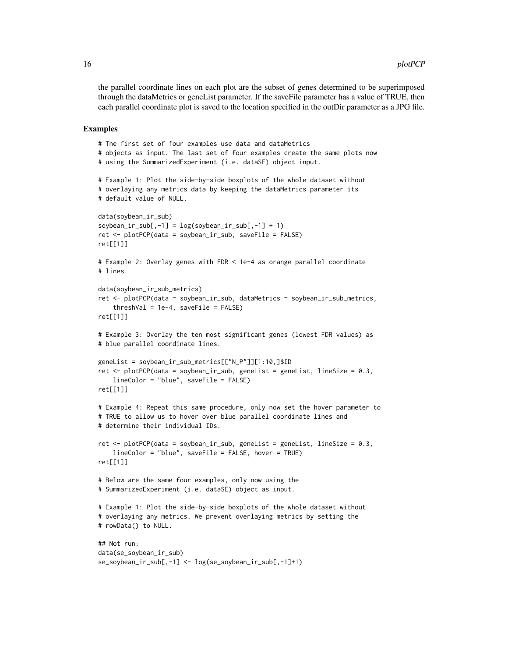the parallel coordinate lines on each plot are the subset of genes determined to be superimposed through the dataMetrics or geneList parameter. If the saveFile parameter has a value of TRUE, then each parallel coordinate plot is saved to the location specified in the outDir parameter as a JPG file.

```
# The first set of four examples use data and dataMetrics
# objects as input. The last set of four examples create the same plots now
# using the SummarizedExperiment (i.e. dataSE) object input.
# Example 1: Plot the side-by-side boxplots of the whole dataset without
# overlaying any metrics data by keeping the dataMetrics parameter its
# default value of NULL.
data(soybean_ir_sub)
soybean\_ir\_sub[, -1] = log(soybean\_ir\_sub[, -1] + 1)ret <- plotPCP(data = soybean_ir_sub, saveFile = FALSE)
ret[[1]]
# Example 2: Overlay genes with FDR < 1e-4 as orange parallel coordinate
# lines.
data(soybean_ir_sub_metrics)
ret <- plotPCP(data = soybean_ir_sub, dataMetrics = soybean_ir_sub_metrics,
    threshVal = 1e-4, saveFile = FALSE)
ret[[1]]
# Example 3: Overlay the ten most significant genes (lowest FDR values) as
# blue parallel coordinate lines.
geneList = soybean_ir_sub_metrics[["N_P"]][1:10,]$ID
ret <- plotPCP(data = soybean_ir_sub, geneList = geneList, lineSize = 0.3,
    lineColor = "blue", saveFile = FALSE)
ret[[1]]
# Example 4: Repeat this same procedure, only now set the hover parameter to
# TRUE to allow us to hover over blue parallel coordinate lines and
# determine their individual IDs.
ret <- plotPCP(data = soybean_ir_sub, geneList = geneList, lineSize = 0.3,
    lineColor = "blue", saveFile = FALSE, hover = TRUE)
ret[[1]]
# Below are the same four examples, only now using the
# SummarizedExperiment (i.e. dataSE) object as input.
# Example 1: Plot the side-by-side boxplots of the whole dataset without
# overlaying any metrics. We prevent overlaying metrics by setting the
# rowData() to NULL.
## Not run:
data(se_soybean_ir_sub)
se_soybean_ir_sub[,-1] <- log(se_soybean_ir_sub[,-1]+1)
```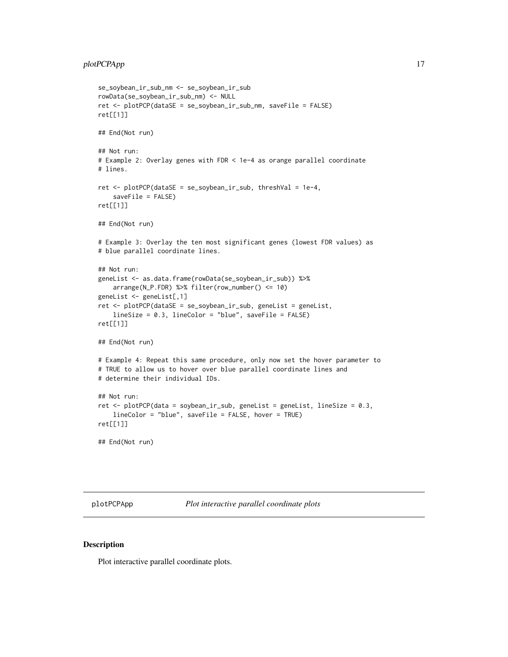```
se_soybean_ir_sub_nm <- se_soybean_ir_sub
rowData(se_soybean_ir_sub_nm) <- NULL
ret <- plotPCP(dataSE = se_soybean_ir_sub_nm, saveFile = FALSE)
ret[[1]]
## End(Not run)
## Not run:
# Example 2: Overlay genes with FDR < 1e-4 as orange parallel coordinate
# lines.
ret <- plotPCP(dataSE = se_soybean_ir_sub, threshVal = 1e-4,
    saveFile = FALSE)
ret[[1]]
## End(Not run)
# Example 3: Overlay the ten most significant genes (lowest FDR values) as
# blue parallel coordinate lines.
## Not run:
geneList <- as.data.frame(rowData(se_soybean_ir_sub)) %>%
    arrange(N_P.FDR) %>% filter(row_number() <= 10)
geneList <- geneList[,1]
ret <- plotPCP(dataSE = se_soybean_ir_sub, geneList = geneList,
    lineSize = 0.3, lineColor = "blue", saveFile = FALSE)
ret[[1]]
## End(Not run)
# Example 4: Repeat this same procedure, only now set the hover parameter to
# TRUE to allow us to hover over blue parallel coordinate lines and
# determine their individual IDs.
## Not run:
ret <- plotPCP(data = soybean_ir_sub, geneList = geneList, lineSize = 0.3,
    lineColor = "blue", saveFile = FALSE, hover = TRUE)
ret[[1]]
## End(Not run)
```
plotPCPApp *Plot interactive parallel coordinate plots*

#### **Description**

Plot interactive parallel coordinate plots.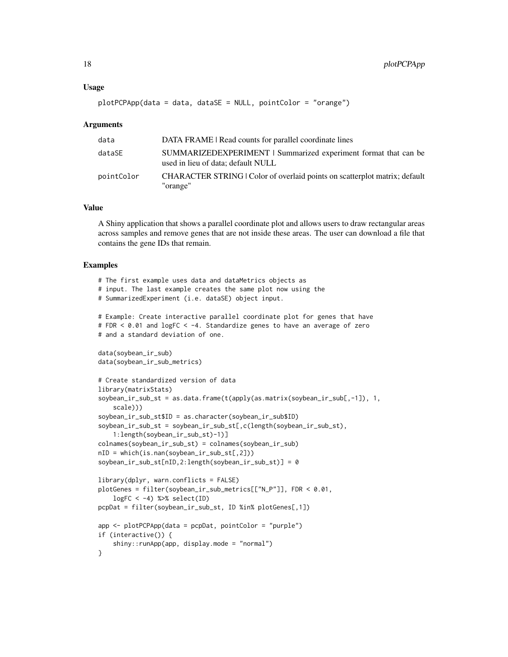#### Usage

```
plotPCPApp(data = data, dataSE = NULL, pointColor = "orange")
```
#### Arguments

| data       | DATA FRAME   Read counts for parallel coordinate lines                                                |
|------------|-------------------------------------------------------------------------------------------------------|
| dataSE     | SUMMARIZEDEXPERIMENT   Summarized experiment format that can be<br>used in lieu of data; default NULL |
| pointColor | CHARACTER STRING   Color of overlaid points on scatterplot matrix; default<br>"orange"                |

#### Value

A Shiny application that shows a parallel coordinate plot and allows users to draw rectangular areas across samples and remove genes that are not inside these areas. The user can download a file that contains the gene IDs that remain.

```
# The first example uses data and dataMetrics objects as
# input. The last example creates the same plot now using the
# SummarizedExperiment (i.e. dataSE) object input.
# Example: Create interactive parallel coordinate plot for genes that have
# FDR < 0.01 and logFC < -4. Standardize genes to have an average of zero
# and a standard deviation of one.
data(soybean_ir_sub)
data(soybean_ir_sub_metrics)
# Create standardized version of data
library(matrixStats)
soybean_ir_sub_st = as.data.frame(t(apply(as.matrix(soybean_ir_sub[,-1]), 1,
    scale)))
soybean_ir_sub_st$ID = as.character(soybean_ir_sub$ID)
soybean_ir_sub_st = soybean_ir_sub_st[,c(length(soybean_ir_sub_st),
    1:length(soybean_ir_sub_st)-1)]
colnames(soybean_ir_sub_st) = colnames(soybean_ir_sub)
nID = which(is.nan(soybean_ir_sub_st[,2]))
soybean_ir_sub_st[nID,2:length(soybean_ir_sub_st)] = 0
library(dplyr, warn.conflicts = FALSE)
plotGenes = filter(soybean_ir_sub_metrics[["N_P"]], FDR < 0.01,
    logFC < -4) %>% select(ID)
pcpDat = filter(soybean_ir_sub_st, ID %in% plotGenes[,1])
app <- plotPCPApp(data = pcpDat, pointColor = "purple")
if (interactive()) {
   shiny::runApp(app, display.mode = "normal")
}
```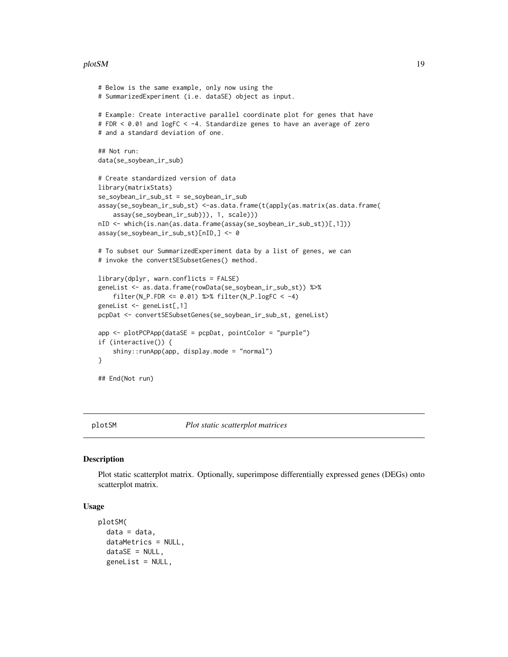#### <span id="page-18-0"></span>plotSM and the state of the state of the state of the state of the state of the state of the state of the state of the state of the state of the state of the state of the state of the state of the state of the state of the

```
# Below is the same example, only now using the
# SummarizedExperiment (i.e. dataSE) object as input.
# Example: Create interactive parallel coordinate plot for genes that have
# FDR < 0.01 and logFC < -4. Standardize genes to have an average of zero
# and a standard deviation of one.
## Not run:
data(se_soybean_ir_sub)
# Create standardized version of data
library(matrixStats)
se_soybean_ir_sub_st = se_soybean_ir_sub
assay(se_soybean_ir_sub_st) <-as.data.frame(t(apply(as.matrix(as.data.frame(
    assay(se_soybean_ir_sub))), 1, scale)))
nID <- which(is.nan(as.data.frame(assay(se_soybean_ir_sub_st))[,1]))
assay(se_soybean_ir_sub_st)[nID,] <- 0
# To subset our SummarizedExperiment data by a list of genes, we can
# invoke the convertSESubsetGenes() method.
library(dplyr, warn.conflicts = FALSE)
geneList <- as.data.frame(rowData(se_soybean_ir_sub_st)) %>%
    filter(N_P.FDR <= 0.01) %>% filter(N_P.logFC < -4)
geneList <- geneList[,1]
pcpDat <- convertSESubsetGenes(se_soybean_ir_sub_st, geneList)
app <- plotPCPApp(dataSE = pcpDat, pointColor = "purple")
if (interactive()) {
    shiny::runApp(app, display.mode = "normal")
}
## End(Not run)
```
plotSM *Plot static scatterplot matrices*

#### Description

Plot static scatterplot matrix. Optionally, superimpose differentially expressed genes (DEGs) onto scatterplot matrix.

#### Usage

```
plotSM(
  data = data,
  dataMetrics = NULL,
  dataSE = NULL,geneList = NULL,
```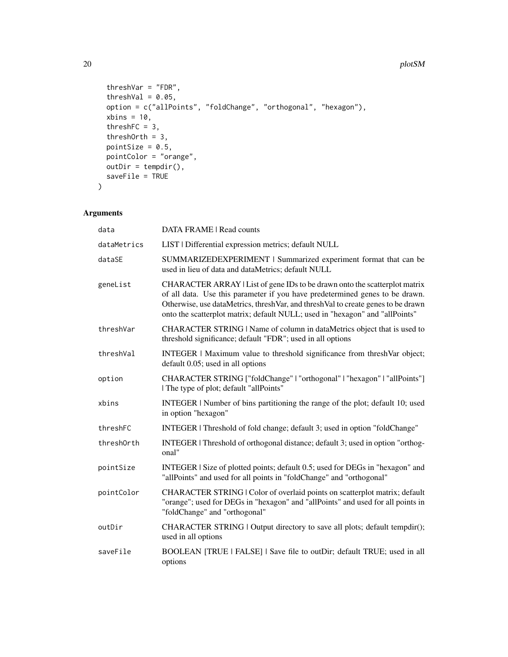#### 20 plotSM

```
threshVar = "FDR",threshVal = 0.05,
 option = c("allPoints", "foldChange", "orthogonal", "hexagon"),
 xbins = 10,threshFC = 3,
 threshOrth = 3,
 pointSize = 0.5,
 pointColor = "orange",
 outDir = tempdir(),
 saveFile = TRUE
\mathcal{L}
```
#### Arguments

| data        | DATA FRAME   Read counts                                                                                                                                                                                                                                                                                                       |
|-------------|--------------------------------------------------------------------------------------------------------------------------------------------------------------------------------------------------------------------------------------------------------------------------------------------------------------------------------|
| dataMetrics | LIST   Differential expression metrics; default NULL                                                                                                                                                                                                                                                                           |
| dataSE      | SUMMARIZEDEXPERIMENT   Summarized experiment format that can be<br>used in lieu of data and dataMetrics; default NULL                                                                                                                                                                                                          |
| geneList    | CHARACTER ARRAY   List of gene IDs to be drawn onto the scatterplot matrix<br>of all data. Use this parameter if you have predetermined genes to be drawn.<br>Otherwise, use dataMetrics, threshVar, and threshVal to create genes to be drawn<br>onto the scatterplot matrix; default NULL; used in "hexagon" and "allPoints" |
| threshVar   | CHARACTER STRING   Name of column in dataMetrics object that is used to<br>threshold significance; default "FDR"; used in all options                                                                                                                                                                                          |
| threshVal   | INTEGER   Maximum value to threshold significance from threshVar object;<br>default 0.05; used in all options                                                                                                                                                                                                                  |
| option      | CHARACTER STRING ["foldChange"   "orthogonal"   "hexagon"   "allPoints"]<br>The type of plot; default "allPoints"                                                                                                                                                                                                              |
| xbins       | INTEGER   Number of bins partitioning the range of the plot; default 10; used<br>in option "hexagon"                                                                                                                                                                                                                           |
| threshFC    | INTEGER   Threshold of fold change; default 3; used in option "foldChange"                                                                                                                                                                                                                                                     |
| threshOrth  | INTEGER   Threshold of orthogonal distance; default 3; used in option "orthog-<br>onal"                                                                                                                                                                                                                                        |
| pointSize   | INTEGER   Size of plotted points; default 0.5; used for DEGs in "hexagon" and<br>"allPoints" and used for all points in "foldChange" and "orthogonal"                                                                                                                                                                          |
| pointColor  | CHARACTER STRING   Color of overlaid points on scatterplot matrix; default<br>"orange"; used for DEGs in "hexagon" and "allPoints" and used for all points in<br>"foldChange" and "orthogonal"                                                                                                                                 |
| outDir      | CHARACTER STRING   Output directory to save all plots; default tempdir();<br>used in all options                                                                                                                                                                                                                               |
| saveFile    | BOOLEAN [TRUE   FALSE]   Save file to outDir; default TRUE; used in all<br>options                                                                                                                                                                                                                                             |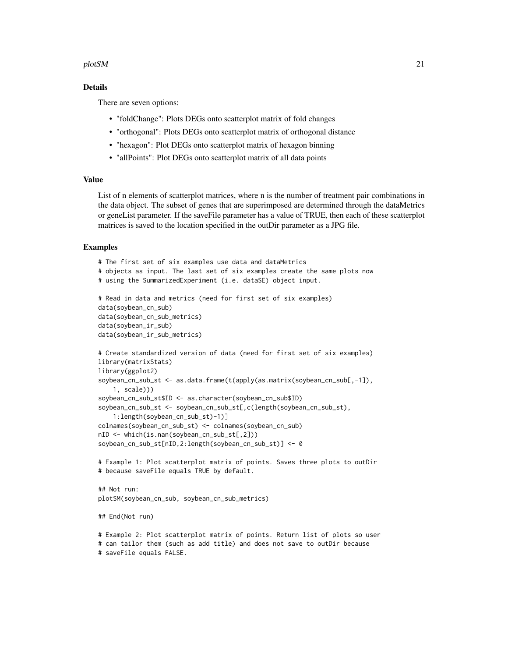#### plotSM 21

#### Details

There are seven options:

- "foldChange": Plots DEGs onto scatterplot matrix of fold changes
- "orthogonal": Plots DEGs onto scatterplot matrix of orthogonal distance
- "hexagon": Plot DEGs onto scatterplot matrix of hexagon binning
- "allPoints": Plot DEGs onto scatterplot matrix of all data points

#### Value

List of n elements of scatterplot matrices, where n is the number of treatment pair combinations in the data object. The subset of genes that are superimposed are determined through the dataMetrics or geneList parameter. If the saveFile parameter has a value of TRUE, then each of these scatterplot matrices is saved to the location specified in the outDir parameter as a JPG file.

```
# The first set of six examples use data and dataMetrics
# objects as input. The last set of six examples create the same plots now
# using the SummarizedExperiment (i.e. dataSE) object input.
# Read in data and metrics (need for first set of six examples)
data(soybean_cn_sub)
data(soybean_cn_sub_metrics)
data(soybean_ir_sub)
data(soybean_ir_sub_metrics)
# Create standardized version of data (need for first set of six examples)
library(matrixStats)
library(ggplot2)
soybean_cn_sub_st <- as.data.frame(t(apply(as.matrix(soybean_cn_sub[,-1]),
    1, scale)))
soybean_cn_sub_st$ID <- as.character(soybean_cn_sub$ID)
soybean_cn_sub_st <- soybean_cn_sub_st[,c(length(soybean_cn_sub_st),
    1:length(soybean_cn_sub_st)-1)]
colnames(soybean_cn_sub_st) <- colnames(soybean_cn_sub)
nID <- which(is.nan(soybean_cn_sub_st[,2]))
soybean_cn_sub_st[nID,2:length(soybean_cn_sub_st)] <- 0
# Example 1: Plot scatterplot matrix of points. Saves three plots to outDir
# because saveFile equals TRUE by default.
## Not run:
plotSM(soybean_cn_sub, soybean_cn_sub_metrics)
## End(Not run)
# Example 2: Plot scatterplot matrix of points. Return list of plots so user
# can tailor them (such as add title) and does not save to outDir because
```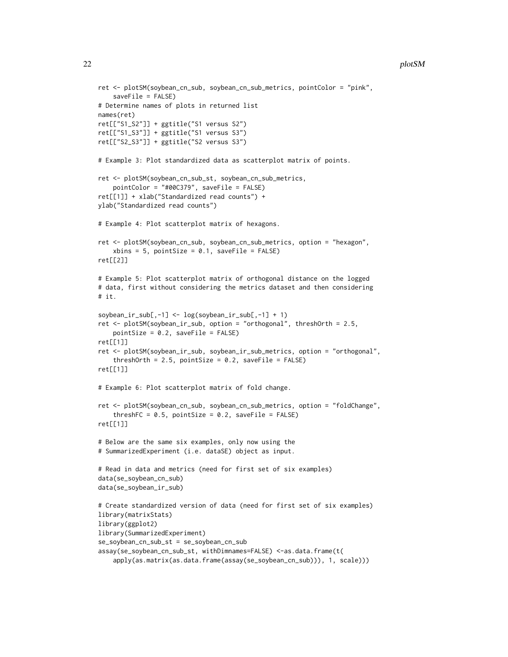```
ret <- plotSM(soybean_cn_sub, soybean_cn_sub_metrics, pointColor = "pink",
    saveFile = FALSE)
# Determine names of plots in returned list
names(ret)
ret[["S1_S2"]] + ggtitle("S1 versus S2")
ret[["S1_S3"]] + ggtitle("S1 versus S3")
ret[["S2_S3"]] + ggtitle("S2 versus S3")
# Example 3: Plot standardized data as scatterplot matrix of points.
ret <- plotSM(soybean_cn_sub_st, soybean_cn_sub_metrics,
    pointColor = "#00C379", saveFile = FALSE)
ret[[1]] + xlab("Standardized read counts") +
ylab("Standardized read counts")
# Example 4: Plot scatterplot matrix of hexagons.
ret <- plotSM(soybean_cn_sub, soybean_cn_sub_metrics, option = "hexagon",
    xbins = 5, pointSize = 0.1, saveFile = FALSE)
ret[[2]]
# Example 5: Plot scatterplot matrix of orthogonal distance on the logged
# data, first without considering the metrics dataset and then considering
# it.
soybean_ir_sub[,-1] <- log(soybean_ir_sub[,-1] + 1)
ret <- plotSM(soybean_ir_sub, option = "orthogonal", threshOrth = 2.5,
   pointSize = 0.2, saveFile = FALSE)
ret[[1]]
ret <- plotSM(soybean_ir_sub, soybean_ir_sub_metrics, option = "orthogonal",
    threshOrth = 2.5, pointSize = 0.2, saveFile = FALSE)
ret[[1]]
# Example 6: Plot scatterplot matrix of fold change.
ret <- plotSM(soybean_cn_sub, soybean_cn_sub_metrics, option = "foldChange",
    threshFC = 0.5, pointSize = 0.2, saveFile = FALSE)
ret[[1]]
# Below are the same six examples, only now using the
# SummarizedExperiment (i.e. dataSE) object as input.
# Read in data and metrics (need for first set of six examples)
data(se_soybean_cn_sub)
data(se_soybean_ir_sub)
# Create standardized version of data (need for first set of six examples)
library(matrixStats)
library(ggplot2)
library(SummarizedExperiment)
se_soybean_cn_sub_st = se_soybean_cn_sub
assay(se_soybean_cn_sub_st, withDimnames=FALSE) <-as.data.frame(t(
    apply(as.matrix(as.data.frame(assay(se_soybean_cn_sub))), 1, scale)))
```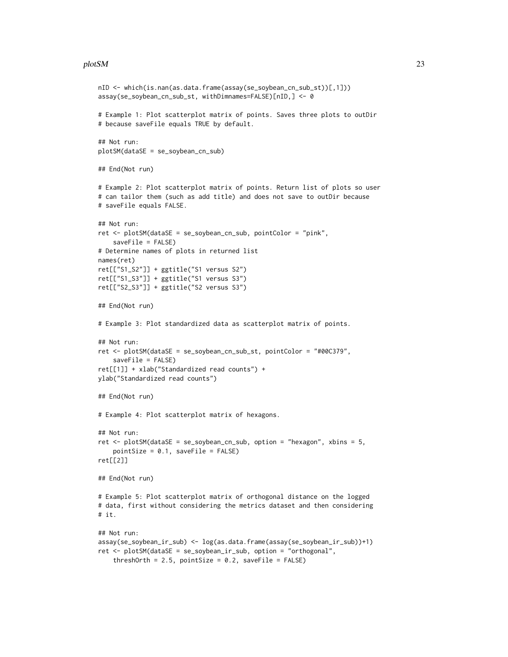#### plotSM 23

```
nID <- which(is.nan(as.data.frame(assay(se_soybean_cn_sub_st))[,1]))
assay(se_soybean_cn_sub_st, withDimnames=FALSE)[nID,] <- 0
# Example 1: Plot scatterplot matrix of points. Saves three plots to outDir
# because saveFile equals TRUE by default.
## Not run:
plotSM(dataSE = se_soybean_cn_sub)
## End(Not run)
# Example 2: Plot scatterplot matrix of points. Return list of plots so user
# can tailor them (such as add title) and does not save to outDir because
# saveFile equals FALSE.
## Not run:
ret <- plotSM(dataSE = se_soybean_cn_sub, pointColor = "pink",
    saveFile = FALSE)
# Determine names of plots in returned list
names(ret)
ret[["S1_S2"]] + ggtitle("S1 versus S2")
ret[["S1_S3"]] + ggtitle("S1 versus S3")
ret[["S2_S3"]] + ggtitle("S2 versus S3")
## End(Not run)
# Example 3: Plot standardized data as scatterplot matrix of points.
## Not run:
ret <- plotSM(dataSE = se_soybean_cn_sub_st, pointColor = "#00C379",
    saveFile = FALSE)
ret[[1]] + xlab("Standardized read counts") +
ylab("Standardized read counts")
## End(Not run)
# Example 4: Plot scatterplot matrix of hexagons.
## Not run:
ret <- plotSM(dataSE = se_soybean_cn_sub, option = "hexagon", xbins = 5,
    pointsize = 0.1, saveFile = FALSE)ret[[2]]
## End(Not run)
# Example 5: Plot scatterplot matrix of orthogonal distance on the logged
# data, first without considering the metrics dataset and then considering
# it.
## Not run:
assay(se_soybean_ir_sub) <- log(as.data.frame(assay(se_soybean_ir_sub))+1)
ret <- plotSM(dataSE = se_soybean_ir_sub, option = "orthogonal",
    threshOrth = 2.5, pointSize = 0.2, saveFile = FALSE)
```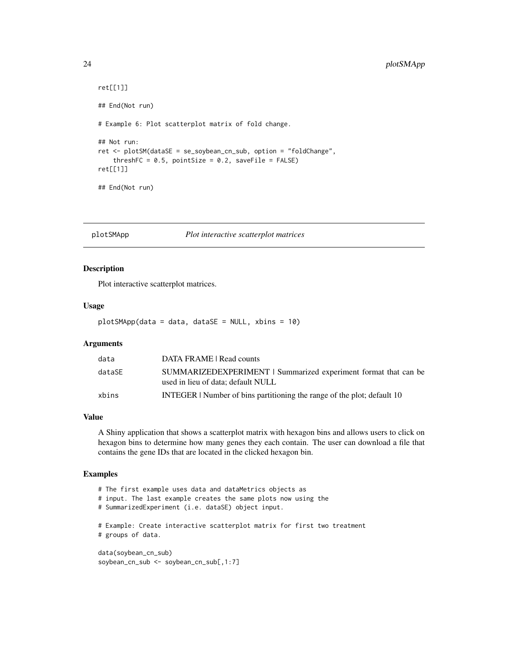```
ret[[1]]
## End(Not run)
# Example 6: Plot scatterplot matrix of fold change.
## Not run:
ret <- plotSM(dataSE = se_soybean_cn_sub, option = "foldChange",
    threshFC = 0.5, pointSize = 0.2, saveFile = FALSE)
ret[[1]]
## End(Not run)
```
plotSMApp *Plot interactive scatterplot matrices*

#### Description

Plot interactive scatterplot matrices.

#### Usage

plotSMApp(data = data, dataSE = NULL, xbins = 10)

#### **Arguments**

| data   | DATA FRAME   Read counts                                                                              |
|--------|-------------------------------------------------------------------------------------------------------|
| dataSE | SUMMARIZEDEXPERIMENT   Summarized experiment format that can be<br>used in lieu of data: default NULL |
| xbins  | INTEGER   Number of bins partitioning the range of the plot; default 10                               |

#### Value

A Shiny application that shows a scatterplot matrix with hexagon bins and allows users to click on hexagon bins to determine how many genes they each contain. The user can download a file that contains the gene IDs that are located in the clicked hexagon bin.

```
# The first example uses data and dataMetrics objects as
# input. The last example creates the same plots now using the
# SummarizedExperiment (i.e. dataSE) object input.
# Example: Create interactive scatterplot matrix for first two treatment
# groups of data.
data(soybean_cn_sub)
soybean_cn_sub <- soybean_cn_sub[,1:7]
```
<span id="page-23-0"></span>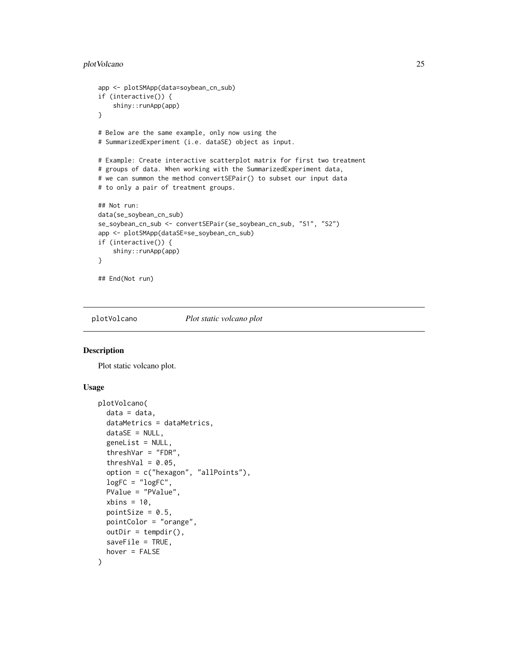#### <span id="page-24-0"></span>plotVolcano 25

```
app <- plotSMApp(data=soybean_cn_sub)
if (interactive()) {
    shiny::runApp(app)
}
# Below are the same example, only now using the
# SummarizedExperiment (i.e. dataSE) object as input.
# Example: Create interactive scatterplot matrix for first two treatment
# groups of data. When working with the SummarizedExperiment data,
# we can summon the method convertSEPair() to subset our input data
# to only a pair of treatment groups.
## Not run:
data(se_soybean_cn_sub)
se_soybean_cn_sub <- convertSEPair(se_soybean_cn_sub, "S1", "S2")
app <- plotSMApp(dataSE=se_soybean_cn_sub)
if (interactive()) {
    shiny::runApp(app)
}
## End(Not run)
```
plotVolcano *Plot static volcano plot*

#### Description

Plot static volcano plot.

#### Usage

```
plotVolcano(
  data = data,
  dataMetrics = dataMetrics,
  dataSE = NULL,geneList = NULL,
  threshVar = "FDR",
  threshVal = 0.05,
  option = c("hexagon", "allPoints"),
  logFC = "logFC",
 PValue = "PValue",
  xbins = 10,
  pointSize = 0.5,
 pointColor = "orange",
 outDir = tempdir(),saveFile = TRUE,
  hover = FALSE
)
```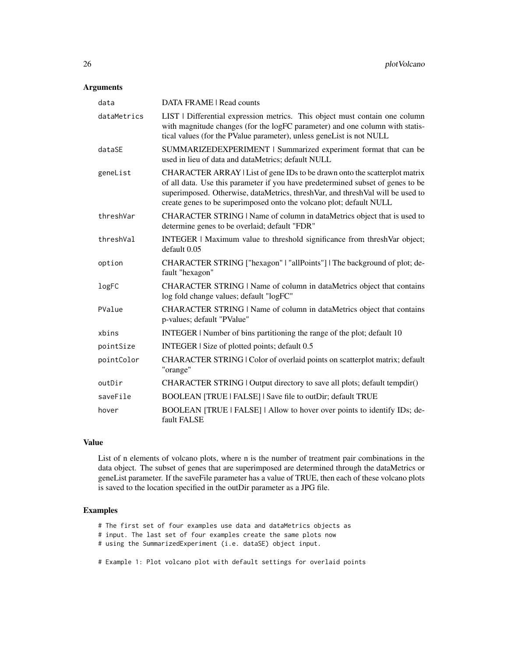#### Arguments

| data        | <b>DATA FRAME   Read counts</b>                                                                                                                                                                                                                                                                                        |
|-------------|------------------------------------------------------------------------------------------------------------------------------------------------------------------------------------------------------------------------------------------------------------------------------------------------------------------------|
| dataMetrics | LIST   Differential expression metrics. This object must contain one column<br>with magnitude changes (for the logFC parameter) and one column with statis-<br>tical values (for the PValue parameter), unless geneList is not NULL                                                                                    |
| dataSE      | SUMMARIZEDEXPERIMENT   Summarized experiment format that can be<br>used in lieu of data and dataMetrics; default NULL                                                                                                                                                                                                  |
| geneList    | CHARACTER ARRAY   List of gene IDs to be drawn onto the scatterplot matrix<br>of all data. Use this parameter if you have predetermined subset of genes to be<br>superimposed. Otherwise, dataMetrics, threshVar, and threshVal will be used to<br>create genes to be superimposed onto the volcano plot; default NULL |
| threshVar   | CHARACTER STRING   Name of column in dataMetrics object that is used to<br>determine genes to be overlaid; default "FDR"                                                                                                                                                                                               |
| threshVal   | INTEGER   Maximum value to threshold significance from threshVar object;<br>default 0.05                                                                                                                                                                                                                               |
| option      | CHARACTER STRING ["hexagon"   "allPoints"]   The background of plot; de-<br>fault "hexagon"                                                                                                                                                                                                                            |
| logFC       | CHARACTER STRING   Name of column in dataMetrics object that contains<br>log fold change values; default "logFC"                                                                                                                                                                                                       |
| PValue      | CHARACTER STRING   Name of column in dataMetrics object that contains<br>p-values; default "PValue"                                                                                                                                                                                                                    |
| xbins       | INTEGER   Number of bins partitioning the range of the plot; default 10                                                                                                                                                                                                                                                |
| pointSize   | INTEGER   Size of plotted points; default 0.5                                                                                                                                                                                                                                                                          |
| pointColor  | CHARACTER STRING   Color of overlaid points on scatterplot matrix; default<br>"orange"                                                                                                                                                                                                                                 |
| outDir      | CHARACTER STRING   Output directory to save all plots; default tempdir()                                                                                                                                                                                                                                               |
| saveFile    | BOOLEAN [TRUE   FALSE]   Save file to outDir; default TRUE                                                                                                                                                                                                                                                             |
| hover       | BOOLEAN [TRUE   FALSE]   Allow to hover over points to identify IDs; de-<br>fault FALSE                                                                                                                                                                                                                                |

#### Value

List of n elements of volcano plots, where n is the number of treatment pair combinations in the data object. The subset of genes that are superimposed are determined through the dataMetrics or geneList parameter. If the saveFile parameter has a value of TRUE, then each of these volcano plots is saved to the location specified in the outDir parameter as a JPG file.

- # The first set of four examples use data and dataMetrics objects as
- # input. The last set of four examples create the same plots now
- # using the SummarizedExperiment (i.e. dataSE) object input.
- # Example 1: Plot volcano plot with default settings for overlaid points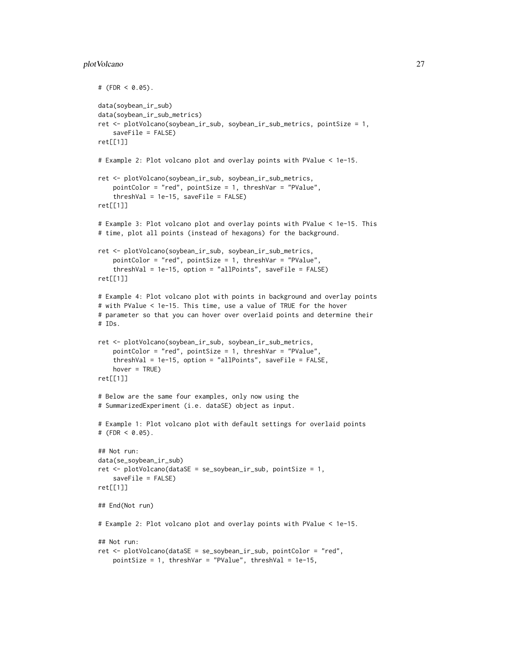#### plotVolcano 27

```
# (FDR < 0.05).
data(soybean_ir_sub)
data(soybean_ir_sub_metrics)
ret <- plotVolcano(soybean_ir_sub, soybean_ir_sub_metrics, pointSize = 1,
    saveFile = FALSE)
ret[[1]]
# Example 2: Plot volcano plot and overlay points with PValue < 1e-15.
ret <- plotVolcano(soybean_ir_sub, soybean_ir_sub_metrics,
   pointColor = "red", pointSize = 1, threshVar = "PValue",
    threshold = 1e-15, saveFile = FALSE)
ret[[1]]
# Example 3: Plot volcano plot and overlay points with PValue < 1e-15. This
# time, plot all points (instead of hexagons) for the background.
ret <- plotVolcano(soybean_ir_sub, soybean_ir_sub_metrics,
   pointColor = "red", pointSize = 1, threshVar = "PValue",
    threshVal = 1e-15, option = "allPoints", saveFile = FALSE)
ret[[1]]
# Example 4: Plot volcano plot with points in background and overlay points
# with PValue < 1e-15. This time, use a value of TRUE for the hover
# parameter so that you can hover over overlaid points and determine their
# IDs.
ret <- plotVolcano(soybean_ir_sub, soybean_ir_sub_metrics,
    pointColor = "red", pointSize = 1, threshVar = "PValue",
    threshVal = 1e-15, option = "allPoints", saveFile = FALSE,
   hover = TRUE)
ret[[1]]
# Below are the same four examples, only now using the
# SummarizedExperiment (i.e. dataSE) object as input.
# Example 1: Plot volcano plot with default settings for overlaid points
# (FDR < 0.05).
## Not run:
data(se_soybean_ir_sub)
ret <- plotVolcano(dataSE = se_soybean_ir_sub, pointSize = 1,
    saveFile = FALSE)
ret[[1]]
## End(Not run)
# Example 2: Plot volcano plot and overlay points with PValue < 1e-15.
## Not run:
ret <- plotVolcano(dataSE = se_soybean_ir_sub, pointColor = "red",
    pointSize = 1, threshVar = "PValue", threshVal = 1e-15,
```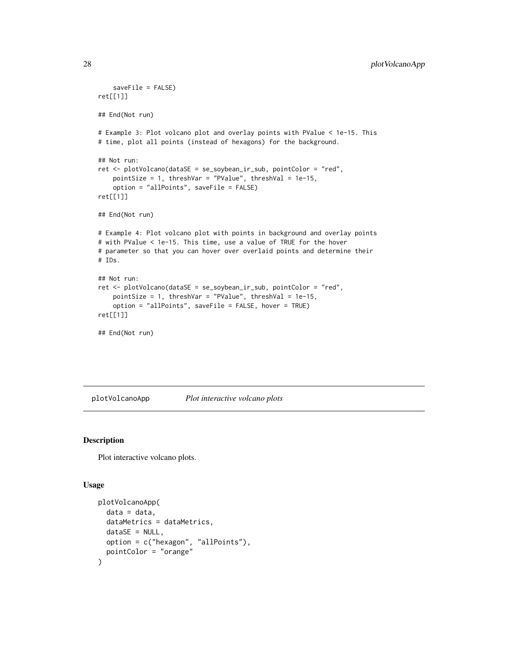```
saveFile = FALSE)
ret[[1]]
## End(Not run)
# Example 3: Plot volcano plot and overlay points with PValue < 1e-15. This
# time, plot all points (instead of hexagons) for the background.
## Not run:
ret <- plotVolcano(dataSE = se_soybean_ir_sub, pointColor = "red",
   pointSize = 1, threshVar = "PValue", threshVal = 1e-15,
    option = "allPoints", saveFile = FALSE)
ret[[1]]
## End(Not run)
# Example 4: Plot volcano plot with points in background and overlay points
# with PValue < 1e-15. This time, use a value of TRUE for the hover
# parameter so that you can hover over overlaid points and determine their
# IDs.
## Not run:
ret <- plotVolcano(dataSE = se_soybean_ir_sub, pointColor = "red",
    pointSize = 1, threshVar = "PValue", threshVal = 1e-15,
   option = "allPoints", saveFile = FALSE, hover = TRUE)
ret[[1]]
## End(Not run)
```
plotVolcanoApp *Plot interactive volcano plots*

#### Description

Plot interactive volcano plots.

#### Usage

```
plotVolcanoApp(
  data = data,
  dataMetrics = dataMetrics,
  dataSE = NULL,
  option = c("hexagon", "allPoints"),
  pointColor = "orange"
)
```
<span id="page-27-0"></span>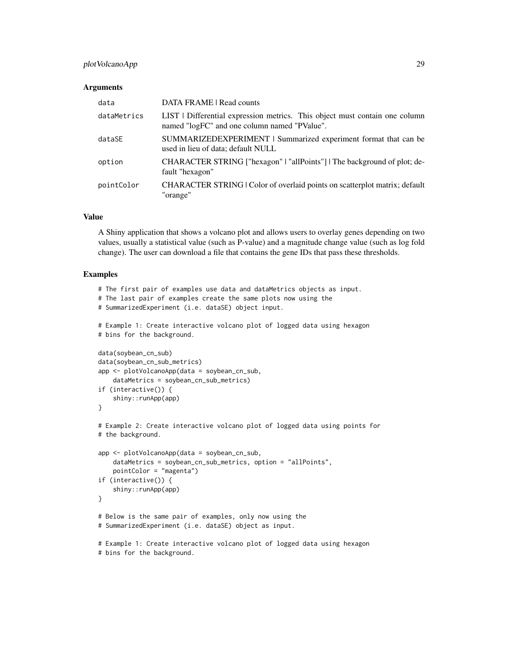#### plotVolcanoApp 29

#### Arguments

| data        | DATA FRAME   Read counts                                                                                                    |
|-------------|-----------------------------------------------------------------------------------------------------------------------------|
| dataMetrics | LIST   Differential expression metrics. This object must contain one column<br>named "logFC" and one column named "PValue". |
| dataSE      | SUMMARIZEDEXPERIMENT   Summarized experiment format that can be<br>used in lieu of data; default NULL                       |
| option      | CHARACTER STRING ["hexagon"   "allPoints"]   The background of plot; de-<br>fault "hexagon"                                 |
| pointColor  | CHARACTER STRING   Color of overlaid points on scatterplot matrix; default<br>"orange"                                      |

#### Value

A Shiny application that shows a volcano plot and allows users to overlay genes depending on two values, usually a statistical value (such as P-value) and a magnitude change value (such as log fold change). The user can download a file that contains the gene IDs that pass these thresholds.

```
# The first pair of examples use data and dataMetrics objects as input.
# The last pair of examples create the same plots now using the
# SummarizedExperiment (i.e. dataSE) object input.
# Example 1: Create interactive volcano plot of logged data using hexagon
# bins for the background.
data(soybean_cn_sub)
data(soybean_cn_sub_metrics)
app <- plotVolcanoApp(data = soybean_cn_sub,
    dataMetrics = soybean_cn_sub_metrics)
if (interactive()) {
    shiny::runApp(app)
}
# Example 2: Create interactive volcano plot of logged data using points for
# the background.
app <- plotVolcanoApp(data = soybean_cn_sub,
    dataMetrics = soybean_cn_sub_metrics, option = "allPoints",
   pointColor = "magenta")
if (interactive()) {
    shiny::runApp(app)
}
# Below is the same pair of examples, only now using the
# SummarizedExperiment (i.e. dataSE) object as input.
# Example 1: Create interactive volcano plot of logged data using hexagon
# bins for the background.
```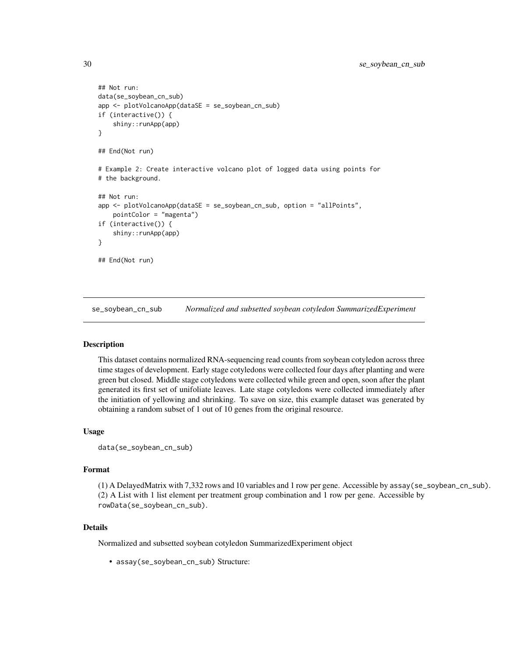```
## Not run:
data(se_soybean_cn_sub)
app <- plotVolcanoApp(dataSE = se_soybean_cn_sub)
if (interactive()) {
    shiny::runApp(app)
}
## End(Not run)
# Example 2: Create interactive volcano plot of logged data using points for
# the background.
## Not run:
app <- plotVolcanoApp(dataSE = se_soybean_cn_sub, option = "allPoints",
    pointColor = "magenta")
if (interactive()) {
    shiny::runApp(app)
}
## End(Not run)
```
se\_soybean\_cn\_sub *Normalized and subsetted soybean cotyledon SummarizedExperiment*

#### Description

This dataset contains normalized RNA-sequencing read counts from soybean cotyledon across three time stages of development. Early stage cotyledons were collected four days after planting and were green but closed. Middle stage cotyledons were collected while green and open, soon after the plant generated its first set of unifoliate leaves. Late stage cotyledons were collected immediately after the initiation of yellowing and shrinking. To save on size, this example dataset was generated by obtaining a random subset of 1 out of 10 genes from the original resource.

#### Usage

```
data(se_soybean_cn_sub)
```
#### Format

(1) A DelayedMatrix with 7,332 rows and 10 variables and 1 row per gene. Accessible by assay(se\_soybean\_cn\_sub). (2) A List with 1 list element per treatment group combination and 1 row per gene. Accessible by rowData(se\_soybean\_cn\_sub).

#### Details

Normalized and subsetted soybean cotyledon SummarizedExperiment object

• assay(se\_soybean\_cn\_sub) Structure:

<span id="page-29-0"></span>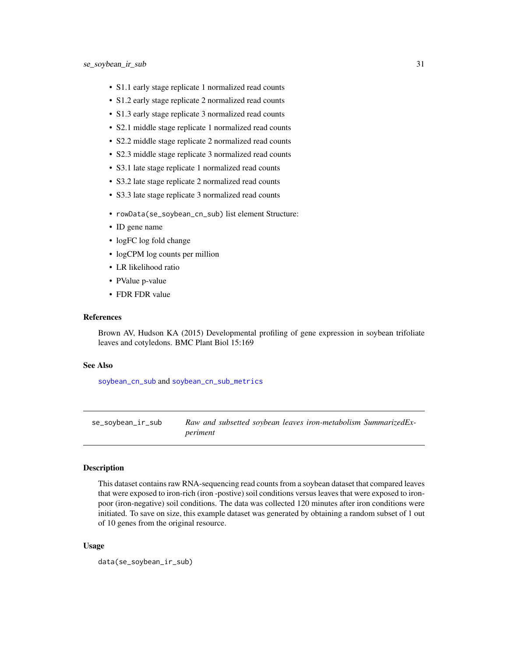- <span id="page-30-0"></span>• S1.1 early stage replicate 1 normalized read counts
- S1.2 early stage replicate 2 normalized read counts
- S1.3 early stage replicate 3 normalized read counts
- S2.1 middle stage replicate 1 normalized read counts
- S2.2 middle stage replicate 2 normalized read counts
- S2.3 middle stage replicate 3 normalized read counts
- S3.1 late stage replicate 1 normalized read counts
- S3.2 late stage replicate 2 normalized read counts
- S3.3 late stage replicate 3 normalized read counts
- rowData(se\_soybean\_cn\_sub) list element Structure:
- ID gene name
- logFC log fold change
- logCPM log counts per million
- LR likelihood ratio
- PValue p-value
- FDR FDR value

#### References

Brown AV, Hudson KA (2015) Developmental profiling of gene expression in soybean trifoliate leaves and cotyledons. BMC Plant Biol 15:169

#### See Also

[soybean\\_cn\\_sub](#page-33-1) and [soybean\\_cn\\_sub\\_metrics](#page-34-1)

se\_soybean\_ir\_sub *Raw and subsetted soybean leaves iron-metabolism SummarizedExperiment*

#### Description

This dataset contains raw RNA-sequencing read counts from a soybean dataset that compared leaves that were exposed to iron-rich (iron -postive) soil conditions versus leaves that were exposed to ironpoor (iron-negative) soil conditions. The data was collected 120 minutes after iron conditions were initiated. To save on size, this example dataset was generated by obtaining a random subset of 1 out of 10 genes from the original resource.

#### Usage

data(se\_soybean\_ir\_sub)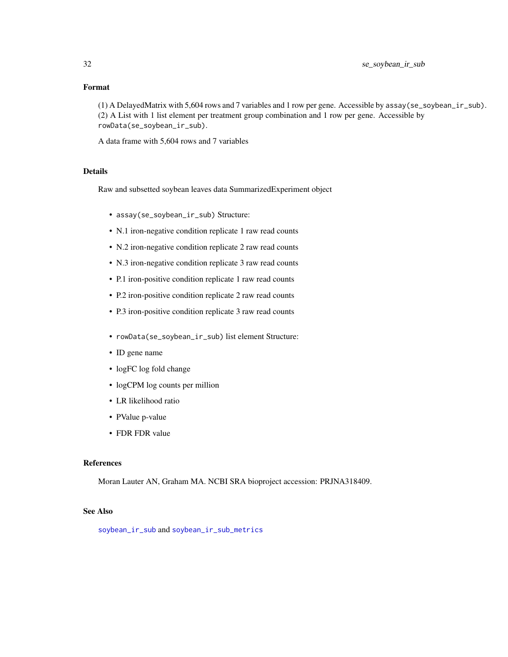#### <span id="page-31-0"></span>Format

(1) A DelayedMatrix with 5,604 rows and 7 variables and 1 row per gene. Accessible by assay(se\_soybean\_ir\_sub). (2) A List with 1 list element per treatment group combination and 1 row per gene. Accessible by rowData(se\_soybean\_ir\_sub).

A data frame with 5,604 rows and 7 variables

#### Details

Raw and subsetted soybean leaves data SummarizedExperiment object

- assay(se\_soybean\_ir\_sub) Structure:
- N.1 iron-negative condition replicate 1 raw read counts
- N.2 iron-negative condition replicate 2 raw read counts
- N.3 iron-negative condition replicate 3 raw read counts
- P.1 iron-positive condition replicate 1 raw read counts
- P.2 iron-positive condition replicate 2 raw read counts
- P.3 iron-positive condition replicate 3 raw read counts
- rowData(se\_soybean\_ir\_sub) list element Structure:
- ID gene name
- logFC log fold change
- logCPM log counts per million
- LR likelihood ratio
- PValue p-value
- FDR FDR value

#### References

Moran Lauter AN, Graham MA. NCBI SRA bioproject accession: PRJNA318409.

#### See Also

[soybean\\_ir\\_sub](#page-36-1) and [soybean\\_ir\\_sub\\_metrics](#page-37-1)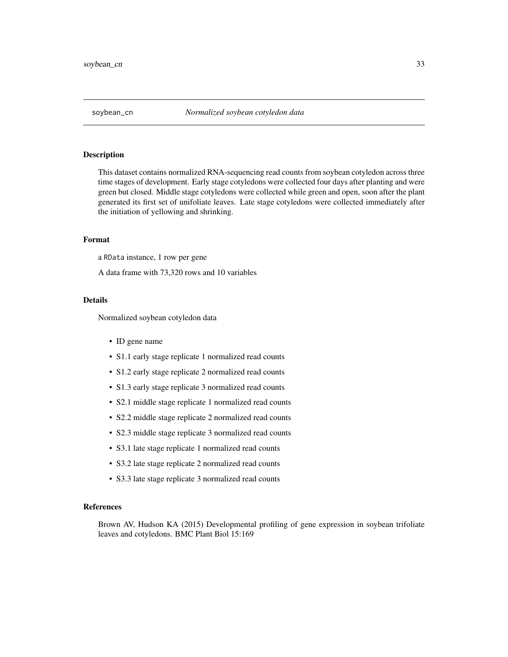<span id="page-32-1"></span><span id="page-32-0"></span>

#### **Description**

This dataset contains normalized RNA-sequencing read counts from soybean cotyledon across three time stages of development. Early stage cotyledons were collected four days after planting and were green but closed. Middle stage cotyledons were collected while green and open, soon after the plant generated its first set of unifoliate leaves. Late stage cotyledons were collected immediately after the initiation of yellowing and shrinking.

#### Format

a RData instance, 1 row per gene

A data frame with 73,320 rows and 10 variables

#### Details

Normalized soybean cotyledon data

- ID gene name
- S1.1 early stage replicate 1 normalized read counts
- S1.2 early stage replicate 2 normalized read counts
- S1.3 early stage replicate 3 normalized read counts
- S2.1 middle stage replicate 1 normalized read counts
- S2.2 middle stage replicate 2 normalized read counts
- S2.3 middle stage replicate 3 normalized read counts
- S3.1 late stage replicate 1 normalized read counts
- S3.2 late stage replicate 2 normalized read counts
- S3.3 late stage replicate 3 normalized read counts

#### References

Brown AV, Hudson KA (2015) Developmental profiling of gene expression in soybean trifoliate leaves and cotyledons. BMC Plant Biol 15:169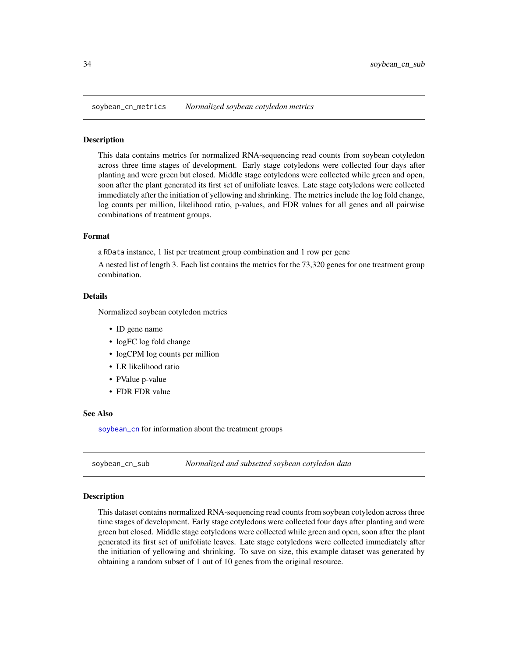<span id="page-33-0"></span>soybean\_cn\_metrics *Normalized soybean cotyledon metrics*

#### **Description**

This data contains metrics for normalized RNA-sequencing read counts from soybean cotyledon across three time stages of development. Early stage cotyledons were collected four days after planting and were green but closed. Middle stage cotyledons were collected while green and open, soon after the plant generated its first set of unifoliate leaves. Late stage cotyledons were collected immediately after the initiation of yellowing and shrinking. The metrics include the log fold change, log counts per million, likelihood ratio, p-values, and FDR values for all genes and all pairwise combinations of treatment groups.

#### Format

a RData instance, 1 list per treatment group combination and 1 row per gene

A nested list of length 3. Each list contains the metrics for the 73,320 genes for one treatment group combination.

#### Details

Normalized soybean cotyledon metrics

- ID gene name
- logFC log fold change
- logCPM log counts per million
- LR likelihood ratio
- PValue p-value
- FDR FDR value

#### See Also

[soybean\\_cn](#page-32-1) for information about the treatment groups

<span id="page-33-1"></span>soybean\_cn\_sub *Normalized and subsetted soybean cotyledon data*

#### Description

This dataset contains normalized RNA-sequencing read counts from soybean cotyledon across three time stages of development. Early stage cotyledons were collected four days after planting and were green but closed. Middle stage cotyledons were collected while green and open, soon after the plant generated its first set of unifoliate leaves. Late stage cotyledons were collected immediately after the initiation of yellowing and shrinking. To save on size, this example dataset was generated by obtaining a random subset of 1 out of 10 genes from the original resource.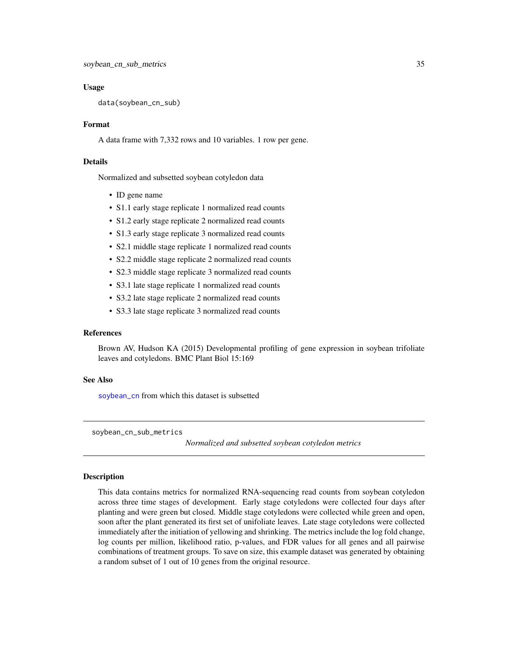#### <span id="page-34-0"></span>Usage

data(soybean\_cn\_sub)

#### Format

A data frame with 7,332 rows and 10 variables. 1 row per gene.

#### Details

Normalized and subsetted soybean cotyledon data

- ID gene name
- S1.1 early stage replicate 1 normalized read counts
- S1.2 early stage replicate 2 normalized read counts
- S1.3 early stage replicate 3 normalized read counts
- S2.1 middle stage replicate 1 normalized read counts
- S2.2 middle stage replicate 2 normalized read counts
- S2.3 middle stage replicate 3 normalized read counts
- S3.1 late stage replicate 1 normalized read counts
- S3.2 late stage replicate 2 normalized read counts
- S3.3 late stage replicate 3 normalized read counts

#### References

Brown AV, Hudson KA (2015) Developmental profiling of gene expression in soybean trifoliate leaves and cotyledons. BMC Plant Biol 15:169

#### See Also

[soybean\\_cn](#page-32-1) from which this dataset is subsetted

<span id="page-34-1"></span>soybean\_cn\_sub\_metrics

*Normalized and subsetted soybean cotyledon metrics*

#### Description

This data contains metrics for normalized RNA-sequencing read counts from soybean cotyledon across three time stages of development. Early stage cotyledons were collected four days after planting and were green but closed. Middle stage cotyledons were collected while green and open, soon after the plant generated its first set of unifoliate leaves. Late stage cotyledons were collected immediately after the initiation of yellowing and shrinking. The metrics include the log fold change, log counts per million, likelihood ratio, p-values, and FDR values for all genes and all pairwise combinations of treatment groups. To save on size, this example dataset was generated by obtaining a random subset of 1 out of 10 genes from the original resource.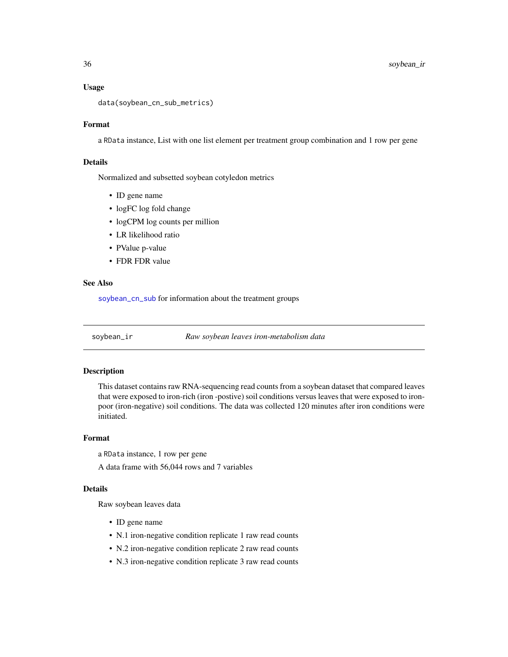#### Usage

```
data(soybean_cn_sub_metrics)
```
#### Format

a RData instance, List with one list element per treatment group combination and 1 row per gene

#### Details

Normalized and subsetted soybean cotyledon metrics

- ID gene name
- logFC log fold change
- logCPM log counts per million
- LR likelihood ratio
- PValue p-value
- FDR FDR value

#### See Also

[soybean\\_cn\\_sub](#page-33-1) for information about the treatment groups

<span id="page-35-1"></span>

soybean\_ir *Raw soybean leaves iron-metabolism data*

#### Description

This dataset contains raw RNA-sequencing read counts from a soybean dataset that compared leaves that were exposed to iron-rich (iron -postive) soil conditions versus leaves that were exposed to ironpoor (iron-negative) soil conditions. The data was collected 120 minutes after iron conditions were initiated.

#### Format

a RData instance, 1 row per gene

A data frame with 56,044 rows and 7 variables

#### Details

Raw soybean leaves data

- ID gene name
- N.1 iron-negative condition replicate 1 raw read counts
- N.2 iron-negative condition replicate 2 raw read counts
- N.3 iron-negative condition replicate 3 raw read counts

<span id="page-35-0"></span>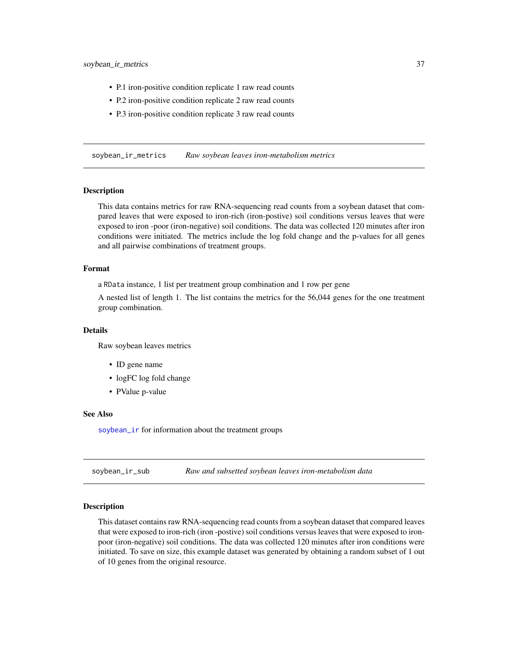- <span id="page-36-0"></span>• P.1 iron-positive condition replicate 1 raw read counts
- P.2 iron-positive condition replicate 2 raw read counts
- P.3 iron-positive condition replicate 3 raw read counts

soybean\_ir\_metrics *Raw soybean leaves iron-metabolism metrics*

#### Description

This data contains metrics for raw RNA-sequencing read counts from a soybean dataset that compared leaves that were exposed to iron-rich (iron-postive) soil conditions versus leaves that were exposed to iron -poor (iron-negative) soil conditions. The data was collected 120 minutes after iron conditions were initiated. The metrics include the log fold change and the p-values for all genes and all pairwise combinations of treatment groups.

#### Format

a RData instance, 1 list per treatment group combination and 1 row per gene

A nested list of length 1. The list contains the metrics for the 56,044 genes for the one treatment group combination.

#### Details

Raw soybean leaves metrics

- ID gene name
- logFC log fold change
- PValue p-value

#### See Also

[soybean\\_ir](#page-35-1) for information about the treatment groups

<span id="page-36-1"></span>soybean\_ir\_sub *Raw and subsetted soybean leaves iron-metabolism data*

#### Description

This dataset contains raw RNA-sequencing read counts from a soybean dataset that compared leaves that were exposed to iron-rich (iron -postive) soil conditions versus leaves that were exposed to ironpoor (iron-negative) soil conditions. The data was collected 120 minutes after iron conditions were initiated. To save on size, this example dataset was generated by obtaining a random subset of 1 out of 10 genes from the original resource.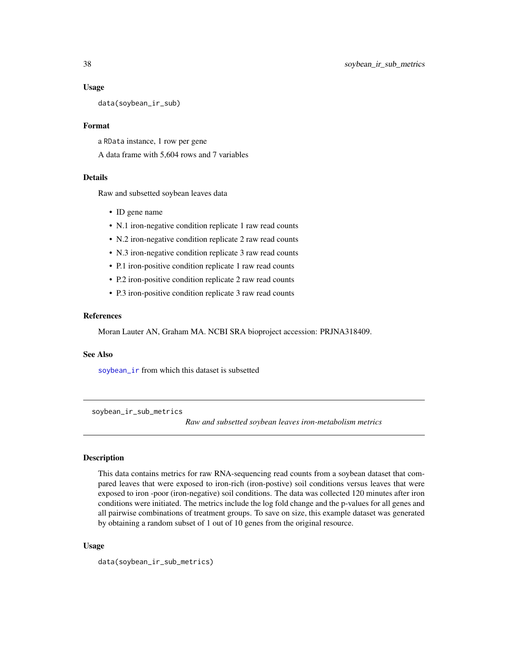#### Usage

data(soybean\_ir\_sub)

#### Format

a RData instance, 1 row per gene A data frame with 5,604 rows and 7 variables

#### Details

Raw and subsetted soybean leaves data

- ID gene name
- N.1 iron-negative condition replicate 1 raw read counts
- N.2 iron-negative condition replicate 2 raw read counts
- N.3 iron-negative condition replicate 3 raw read counts
- P.1 iron-positive condition replicate 1 raw read counts
- P.2 iron-positive condition replicate 2 raw read counts
- P.3 iron-positive condition replicate 3 raw read counts

#### References

Moran Lauter AN, Graham MA. NCBI SRA bioproject accession: PRJNA318409.

#### See Also

[soybean\\_ir](#page-35-1) from which this dataset is subsetted

<span id="page-37-1"></span>soybean\_ir\_sub\_metrics

*Raw and subsetted soybean leaves iron-metabolism metrics*

#### Description

This data contains metrics for raw RNA-sequencing read counts from a soybean dataset that compared leaves that were exposed to iron-rich (iron-postive) soil conditions versus leaves that were exposed to iron -poor (iron-negative) soil conditions. The data was collected 120 minutes after iron conditions were initiated. The metrics include the log fold change and the p-values for all genes and all pairwise combinations of treatment groups. To save on size, this example dataset was generated by obtaining a random subset of 1 out of 10 genes from the original resource.

#### Usage

```
data(soybean_ir_sub_metrics)
```
<span id="page-37-0"></span>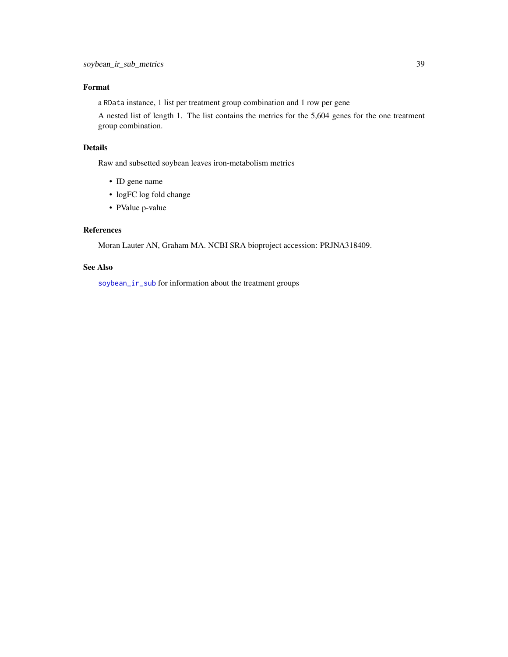#### <span id="page-38-0"></span>Format

a RData instance, 1 list per treatment group combination and 1 row per gene

A nested list of length 1. The list contains the metrics for the 5,604 genes for the one treatment group combination.

#### Details

Raw and subsetted soybean leaves iron-metabolism metrics

- ID gene name
- logFC log fold change
- PValue p-value

#### References

Moran Lauter AN, Graham MA. NCBI SRA bioproject accession: PRJNA318409.

#### See Also

[soybean\\_ir\\_sub](#page-36-1) for information about the treatment groups